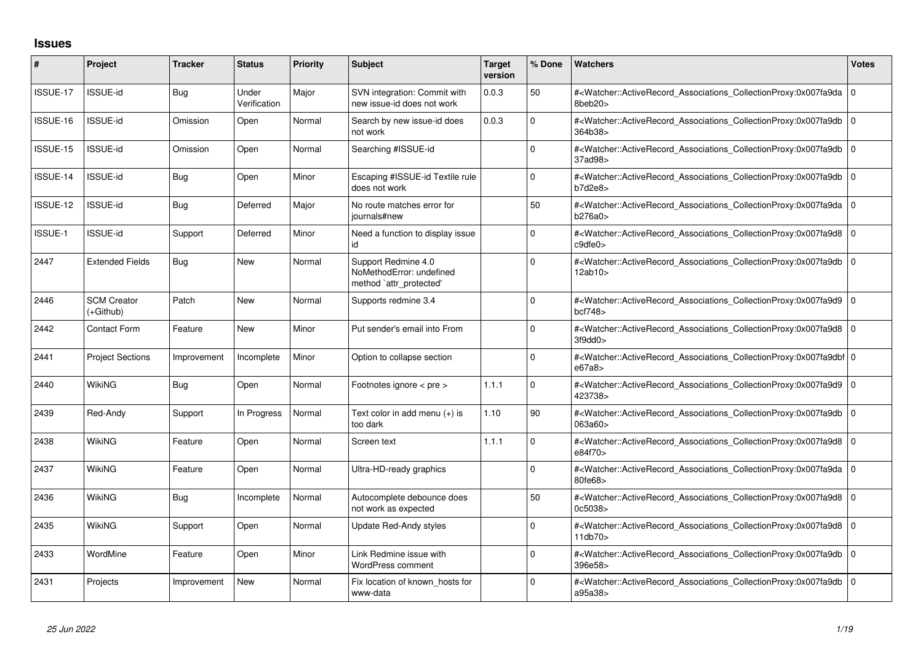## **Issues**

| #        | Project                         | <b>Tracker</b> | <b>Status</b>         | <b>Priority</b> | <b>Subject</b>                                                             | <b>Target</b><br>version | % Done       | <b>Watchers</b>                                                                                                                                          | <b>Votes</b> |
|----------|---------------------------------|----------------|-----------------------|-----------------|----------------------------------------------------------------------------|--------------------------|--------------|----------------------------------------------------------------------------------------------------------------------------------------------------------|--------------|
| ISSUE-17 | ISSUE-id                        | <b>Bug</b>     | Under<br>Verification | Major           | SVN integration: Commit with<br>new issue-id does not work                 | 0.0.3                    | 50           | # <watcher::activerecord_associations_collectionproxy:0x007fa9da 0<br="">8beb20&gt;</watcher::activerecord_associations_collectionproxy:0x007fa9da>      |              |
| ISSUE-16 | <b>ISSUE-id</b>                 | Omission       | Open                  | Normal          | Search by new issue-id does<br>not work                                    | 0.0.3                    | <sup>0</sup> | # <watcher::activerecord 0<br="" associations="" collectionproxy:0x007fa9db=""  ="">364b38&gt;</watcher::activerecord>                                   |              |
| ISSUE-15 | <b>ISSUE-id</b>                 | Omission       | Open                  | Normal          | Searching #ISSUE-id                                                        |                          | <sup>0</sup> | # <watcher::activerecord 0<br="" associations="" collectionproxy:0x007fa9db=""  ="">37ad98&gt;</watcher::activerecord>                                   |              |
| ISSUE-14 | <b>ISSUE-id</b>                 | <b>Bug</b>     | Open                  | Minor           | Escaping #ISSUE-id Textile rule<br>does not work                           |                          | $\Omega$     | # <watcher::activerecord 0<br="" associations="" collectionproxy:0x007fa9db=""  ="">b7d2e8&gt;</watcher::activerecord>                                   |              |
| ISSUE-12 | <b>ISSUE-id</b>                 | Bug            | Deferred              | Major           | No route matches error for<br>journals#new                                 |                          | 50           | # <watcher::activerecord 0<br="" associations="" collectionproxy:0x007fa9da=""  ="">b276a0&gt;</watcher::activerecord>                                   |              |
| ISSUE-1  | <b>ISSUE-id</b>                 | Support        | Deferred              | Minor           | Need a function to display issue<br>id                                     |                          | 0            | # <watcher::activerecord 0<br="" associations="" collectionproxy:0x007fa9d8=""  ="">c9dfe0&gt;</watcher::activerecord>                                   |              |
| 2447     | <b>Extended Fields</b>          | Bug            | <b>New</b>            | Normal          | Support Redmine 4.0<br>NoMethodError: undefined<br>method `attr_protected' |                          | $\Omega$     | # <watcher::activerecord 0<br="" associations="" collectionproxy:0x007fa9db=""  ="">12ab10&gt;</watcher::activerecord>                                   |              |
| 2446     | <b>SCM Creator</b><br>(+Github) | Patch          | <b>New</b>            | Normal          | Supports redmine 3.4                                                       |                          | 0            | # <watcher::activerecord_associations_collectionproxy:0x007fa9d9 0<br="">bcf748</watcher::activerecord_associations_collectionproxy:0x007fa9d9>          |              |
| 2442     | Contact Form                    | Feature        | New                   | Minor           | Put sender's email into From                                               |                          | $\Omega$     | # <watcher::activerecord_associations_collectionproxy:0x007fa9d8 0<br="">3f9dd0&gt;</watcher::activerecord_associations_collectionproxy:0x007fa9d8>      |              |
| 2441     | <b>Project Sections</b>         | Improvement    | Incomplete            | Minor           | Option to collapse section                                                 |                          | 0            | # <watcher::activerecord 0<br="" associations="" collectionproxy:0x007fa9dbf=""  ="">e67a8&gt;</watcher::activerecord>                                   |              |
| 2440     | WikiNG                          | <b>Bug</b>     | Open                  | Normal          | Footnotes ignore < pre >                                                   | 1.1.1                    | $\Omega$     | # <watcher::activerecord_associations_collectionproxy:0x007fa9d9 0<br="">423738&gt;</watcher::activerecord_associations_collectionproxy:0x007fa9d9>      |              |
| 2439     | Red-Andy                        | Support        | In Progress           | Normal          | Text color in add menu $(+)$ is<br>too dark                                | 1.10                     | 90           | # <watcher::activerecord 0<br="" associations="" collectionproxy:0x007fa9db=""  ="">063a60&gt;</watcher::activerecord>                                   |              |
| 2438     | WikiNG                          | Feature        | Open                  | Normal          | Screen text                                                                | 1.1.1                    | $\Omega$     | # <watcher::activerecord_associations_collectionproxy:0x007fa9d8 0<br=""  ="">e84f70&gt;</watcher::activerecord_associations_collectionproxy:0x007fa9d8> |              |
| 2437     | <b>WikiNG</b>                   | Feature        | Open                  | Normal          | Ultra-HD-ready graphics                                                    |                          | $\Omega$     | # <watcher::activerecord_associations_collectionproxy:0x007fa9da 0<br="">80fe68&gt;</watcher::activerecord_associations_collectionproxy:0x007fa9da>      |              |
| 2436     | <b>WikiNG</b>                   | <b>Bug</b>     | Incomplete            | Normal          | Autocomplete debounce does<br>not work as expected                         |                          | 50           | # <watcher::activerecord 0<br="" associations="" collectionproxy:0x007fa9d8=""  ="">0c5038&gt;</watcher::activerecord>                                   |              |
| 2435     | <b>WikiNG</b>                   | Support        | Open                  | Normal          | Update Red-Andy styles                                                     |                          | 0            | # <watcher::activerecord_associations_collectionproxy:0x007fa9d8 0<br="">11db70&gt;</watcher::activerecord_associations_collectionproxy:0x007fa9d8>      |              |
| 2433     | WordMine                        | Feature        | Open                  | Minor           | Link Redmine issue with<br><b>WordPress comment</b>                        |                          | 0            | # <watcher::activerecord 0<br="" associations="" collectionproxy:0x007fa9db=""  ="">396e58&gt;</watcher::activerecord>                                   |              |
| 2431     | Projects                        | Improvement    | <b>New</b>            | Normal          | Fix location of known hosts for<br>www-data                                |                          | 0            | # <watcher::activerecord_associations_collectionproxy:0x007fa9db 0<br="">a95a38&gt;</watcher::activerecord_associations_collectionproxy:0x007fa9db>      |              |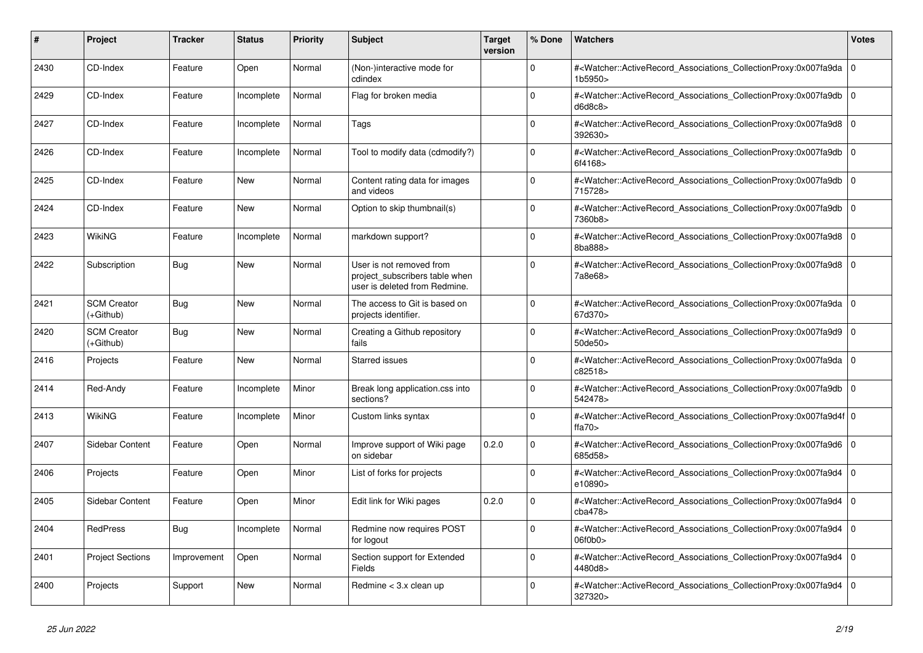| #    | Project                         | <b>Tracker</b> | <b>Status</b> | <b>Priority</b> | <b>Subject</b>                                                                              | <b>Target</b><br>version | % Done      | Watchers                                                                                                                                                                | Votes          |
|------|---------------------------------|----------------|---------------|-----------------|---------------------------------------------------------------------------------------------|--------------------------|-------------|-------------------------------------------------------------------------------------------------------------------------------------------------------------------------|----------------|
| 2430 | CD-Index                        | Feature        | Open          | Normal          | (Non-)interactive mode for<br>cdindex                                                       |                          | $\Omega$    | # <watcher::activerecord_associations_collectionproxy:0x007fa9da<br>1b5950&gt;</watcher::activerecord_associations_collectionproxy:0x007fa9da<br>                       | $\overline{0}$ |
| 2429 | CD-Index                        | Feature        | Incomplete    | Normal          | Flag for broken media                                                                       |                          | $\Omega$    | # <watcher::activerecord_associations_collectionproxy:0x007fa9db<br>d6d8c8&gt;</watcher::activerecord_associations_collectionproxy:0x007fa9db<br>                       | $\overline{0}$ |
| 2427 | CD-Index                        | Feature        | Incomplete    | Normal          | Tags                                                                                        |                          | $\Omega$    | # <watcher::activerecord_associations_collectionproxy:0x007fa9d8<br>392630&gt;</watcher::activerecord_associations_collectionproxy:0x007fa9d8<br>                       | l o            |
| 2426 | CD-Index                        | Feature        | Incomplete    | Normal          | Tool to modify data (cdmodify?)                                                             |                          | $\Omega$    | # <watcher::activerecord_associations_collectionproxy:0x007fa9db<br>6f4168&gt;</watcher::activerecord_associations_collectionproxy:0x007fa9db<br>                       | $\overline{0}$ |
| 2425 | CD-Index                        | Feature        | <b>New</b>    | Normal          | Content rating data for images<br>and videos                                                |                          | $\Omega$    | # <watcher::activerecord_associations_collectionproxy:0x007fa9db<br>715728&gt;</watcher::activerecord_associations_collectionproxy:0x007fa9db<br>                       | $\overline{0}$ |
| 2424 | CD-Index                        | Feature        | <b>New</b>    | Normal          | Option to skip thumbnail(s)                                                                 |                          | $\Omega$    | # <watcher::activerecord associations="" collectionproxy:0x007fa9db<br="">7360b8&gt;</watcher::activerecord>                                                            | $\overline{0}$ |
| 2423 | WikiNG                          | Feature        | Incomplete    | Normal          | markdown support?                                                                           |                          | $\Omega$    | # <watcher::activerecord associations="" collectionproxy:0x007fa9d8<br="">8ba888&gt;</watcher::activerecord>                                                            | l 0            |
| 2422 | Subscription                    | <b>Bug</b>     | <b>New</b>    | Normal          | User is not removed from<br>project_subscribers table when<br>user is deleted from Redmine. |                          | $\Omega$    | # <watcher::activerecord_associations_collectionproxy:0x007fa9d8<br>7a8e68&gt;</watcher::activerecord_associations_collectionproxy:0x007fa9d8<br>                       | l o            |
| 2421 | <b>SCM Creator</b><br>(+Github) | <b>Bug</b>     | New           | Normal          | The access to Git is based on<br>projects identifier.                                       |                          | $\Omega$    | # <watcher::activerecord_associations_collectionproxy:0x007fa9da 0<br=""  ="">67d370&gt;</watcher::activerecord_associations_collectionproxy:0x007fa9da>                |                |
| 2420 | <b>SCM Creator</b><br>(+Github) | <b>Bug</b>     | <b>New</b>    | Normal          | Creating a Github repository<br>fails                                                       |                          | $\Omega$    | # <watcher::activerecord_associations_collectionproxy:0x007fa9d9<br><math>50</math>de<math>50</math></watcher::activerecord_associations_collectionproxy:0x007fa9d9<br> | $\Omega$       |
| 2416 | Projects                        | Feature        | <b>New</b>    | Normal          | <b>Starred issues</b>                                                                       |                          | $\Omega$    | # <watcher::activerecord associations="" collectionproxy:0x007fa9da<br="">c82518&gt;</watcher::activerecord>                                                            | ۱o             |
| 2414 | Red-Andy                        | Feature        | Incomplete    | Minor           | Break long application.css into<br>sections?                                                |                          | $\Omega$    | # <watcher::activerecord associations="" collectionproxy:0x007fa9db<br="">542478&gt;</watcher::activerecord>                                                            | 0              |
| 2413 | <b>WikiNG</b>                   | Feature        | Incomplete    | Minor           | Custom links syntax                                                                         |                          | 0           | # <watcher::activerecord_associations_collectionproxy:0x007fa9d4f 0<br=""  ="">ffa<math>70</math></watcher::activerecord_associations_collectionproxy:0x007fa9d4f>      |                |
| 2407 | <b>Sidebar Content</b>          | Feature        | Open          | Normal          | Improve support of Wiki page<br>on sidebar                                                  | 0.2.0                    | $\Omega$    | # <watcher::activerecord associations="" collectionproxy:0x007fa9d6<br="">685d58&gt;</watcher::activerecord>                                                            | l o            |
| 2406 | Projects                        | Feature        | Open          | Minor           | List of forks for projects                                                                  |                          | $\Omega$    | # <watcher::activerecord associations="" collectionproxy:0x007fa9d4<br="">e10890&gt;</watcher::activerecord>                                                            | 0              |
| 2405 | Sidebar Content                 | Feature        | Open          | Minor           | Edit link for Wiki pages                                                                    | 0.2.0                    | $\mathbf 0$ | # <watcher::activerecord_associations_collectionproxy:0x007fa9d4<br>cba478&gt;</watcher::activerecord_associations_collectionproxy:0x007fa9d4<br>                       | 0              |
| 2404 | RedPress                        | Bug            | Incomplete    | Normal          | Redmine now requires POST<br>for logout                                                     |                          | $\Omega$    | # <watcher::activerecord_associations_collectionproxy:0x007fa9d4<br>06f0b0&gt;</watcher::activerecord_associations_collectionproxy:0x007fa9d4<br>                       | 0              |
| 2401 | <b>Project Sections</b>         | Improvement    | Open          | Normal          | Section support for Extended<br>Fields                                                      |                          | $\Omega$    | # <watcher::activerecord associations="" collectionproxy:0x007fa9d4<br="">4480d8&gt;</watcher::activerecord>                                                            | $\Omega$       |
| 2400 | Projects                        | Support        | <b>New</b>    | Normal          | Redmine < 3.x clean up                                                                      |                          | $\Omega$    | # <watcher::activerecord_associations_collectionproxy:0x007fa9d4<br>327320&gt;</watcher::activerecord_associations_collectionproxy:0x007fa9d4<br>                       | $\overline{0}$ |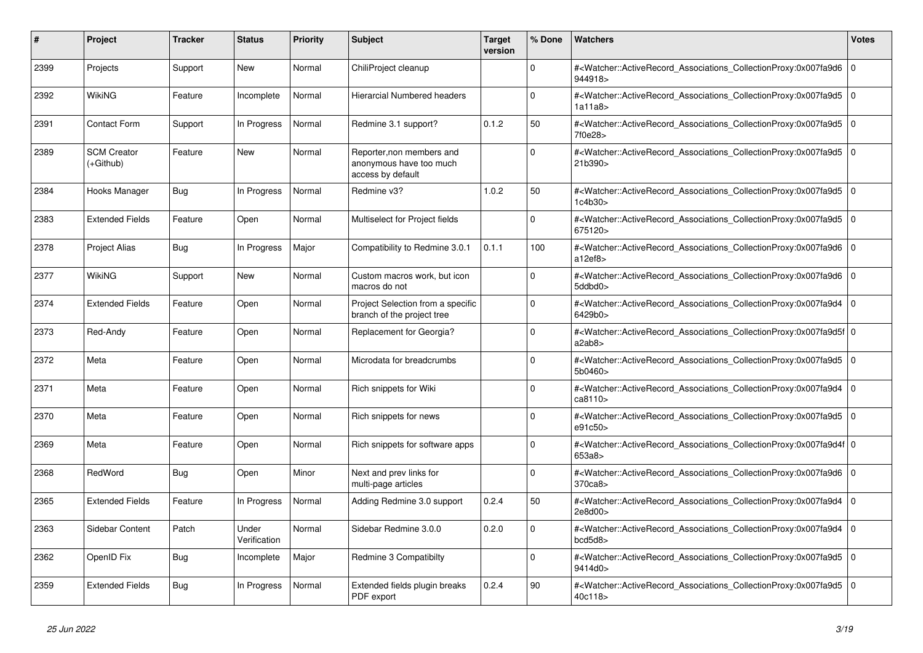| #    | <b>Project</b>                  | <b>Tracker</b> | <b>Status</b>         | <b>Priority</b> | <b>Subject</b>                                                            | <b>Target</b><br>version | % Done      | <b>Watchers</b>                                                                                                                                           | Votes          |
|------|---------------------------------|----------------|-----------------------|-----------------|---------------------------------------------------------------------------|--------------------------|-------------|-----------------------------------------------------------------------------------------------------------------------------------------------------------|----------------|
| 2399 | Projects                        | Support        | New                   | Normal          | ChiliProject cleanup                                                      |                          | $\Omega$    | # <watcher::activerecord_associations_collectionproxy:0x007fa9d6<br>944918&gt;</watcher::activerecord_associations_collectionproxy:0x007fa9d6<br>         | 0              |
| 2392 | <b>WikiNG</b>                   | Feature        | Incomplete            | Normal          | Hierarcial Numbered headers                                               |                          | $\Omega$    | # <watcher::activerecord_associations_collectionproxy:0x007fa9d5<br>1a11a8&gt;</watcher::activerecord_associations_collectionproxy:0x007fa9d5<br>         | l O            |
| 2391 | <b>Contact Form</b>             | Support        | In Progress           | Normal          | Redmine 3.1 support?                                                      | 0.1.2                    | 50          | # <watcher::activerecord associations="" collectionproxy:0x007fa9d5<br="">7f0e28&gt;</watcher::activerecord>                                              | 10             |
| 2389 | <b>SCM Creator</b><br>(+Github) | Feature        | <b>New</b>            | Normal          | Reporter, non members and<br>anonymous have too much<br>access by default |                          | $\Omega$    | # <watcher::activerecord_associations_collectionproxy:0x007fa9d5<br>21b390&gt;</watcher::activerecord_associations_collectionproxy:0x007fa9d5<br>         | 0              |
| 2384 | Hooks Manager                   | Bug            | In Progress           | Normal          | Redmine v3?                                                               | 1.0.2                    | 50          | # <watcher::activerecord associations="" collectionproxy:0x007fa9d5<br="">1c4b30</watcher::activerecord>                                                  | l O            |
| 2383 | <b>Extended Fields</b>          | Feature        | Open                  | Normal          | Multiselect for Project fields                                            |                          | $\mathbf 0$ | # <watcher::activerecord_associations_collectionproxy:0x007fa9d5<br>675120&gt;</watcher::activerecord_associations_collectionproxy:0x007fa9d5<br>         | l o            |
| 2378 | <b>Project Alias</b>            | <b>Bug</b>     | In Progress           | Major           | Compatibility to Redmine 3.0.1                                            | 0.1.1                    | 100         | # <watcher::activerecord_associations_collectionproxy:0x007fa9d6<br>a12ef8</watcher::activerecord_associations_collectionproxy:0x007fa9d6<br>             | $\overline{0}$ |
| 2377 | WikiNG                          | Support        | <b>New</b>            | Normal          | Custom macros work, but icon<br>macros do not                             |                          | $\Omega$    | # <watcher::activerecord_associations_collectionproxy:0x007fa9d6<br>5ddbd0&gt;</watcher::activerecord_associations_collectionproxy:0x007fa9d6<br>         | l O            |
| 2374 | <b>Extended Fields</b>          | Feature        | Open                  | Normal          | Project Selection from a specific<br>branch of the project tree           |                          | $\mathbf 0$ | # <watcher::activerecord associations="" collectionproxy:0x007fa9d4<br="">6429b0&gt;</watcher::activerecord>                                              | 0              |
| 2373 | Red-Andy                        | Feature        | Open                  | Normal          | Replacement for Georgia?                                                  |                          | $\Omega$    | # <watcher::activerecord_associations_collectionproxy:0x007fa9d5f 0<br=""  ="">a2ab8&gt;</watcher::activerecord_associations_collectionproxy:0x007fa9d5f> |                |
| 2372 | Meta                            | Feature        | Open                  | Normal          | Microdata for breadcrumbs                                                 |                          | $\Omega$    | # <watcher::activerecord associations="" collectionproxy:0x007fa9d5<br="">5b0460&gt;</watcher::activerecord>                                              | I٥             |
| 2371 | Meta                            | Feature        | Open                  | Normal          | Rich snippets for Wiki                                                    |                          | $\Omega$    | # <watcher::activerecord associations="" collectionproxy:0x007fa9d4<br="">ca8110&gt;</watcher::activerecord>                                              | 0              |
| 2370 | Meta                            | Feature        | Open                  | Normal          | Rich snippets for news                                                    |                          | $\Omega$    | # <watcher::activerecord_associations_collectionproxy:0x007fa9d5<br>e91c50&gt;</watcher::activerecord_associations_collectionproxy:0x007fa9d5<br>         | $\overline{0}$ |
| 2369 | Meta                            | Feature        | Open                  | Normal          | Rich snippets for software apps                                           |                          | $\Omega$    | # <watcher::activerecord 0<br="" associations="" collectionproxy:0x007fa9d4f=""  ="">653a8&gt;</watcher::activerecord>                                    |                |
| 2368 | RedWord                         | <b>Bug</b>     | Open                  | Minor           | Next and prev links for<br>multi-page articles                            |                          | $\mathbf 0$ | # <watcher::activerecord associations="" collectionproxy:0x007fa9d6<br="">370ca8&gt;</watcher::activerecord>                                              | l O            |
| 2365 | <b>Extended Fields</b>          | Feature        | In Progress           | Normal          | Adding Redmine 3.0 support                                                | 0.2.4                    | 50          | # <watcher::activerecord_associations_collectionproxy:0x007fa9d4<br>2e8d00&gt;</watcher::activerecord_associations_collectionproxy:0x007fa9d4<br>         | $\Omega$       |
| 2363 | <b>Sidebar Content</b>          | Patch          | Under<br>Verification | Normal          | Sidebar Redmine 3.0.0                                                     | 0.2.0                    | $\Omega$    | # <watcher::activerecord associations="" collectionproxy:0x007fa9d4<br="">bcd5d8</watcher::activerecord>                                                  | ۱o             |
| 2362 | OpenID Fix                      | <b>Bug</b>     | Incomplete            | Major           | Redmine 3 Compatibilty                                                    |                          | $\Omega$    | # <watcher::activerecord_associations_collectionproxy:0x007fa9d5<br>9414d0&gt;</watcher::activerecord_associations_collectionproxy:0x007fa9d5<br>         | 0              |
| 2359 | <b>Extended Fields</b>          | <b>Bug</b>     | In Progress           | Normal          | Extended fields plugin breaks<br>PDF export                               | 0.2.4                    | 90          | # <watcher::activerecord_associations_collectionproxy:0x007fa9d5<br>40c118&gt;</watcher::activerecord_associations_collectionproxy:0x007fa9d5<br>         | 0              |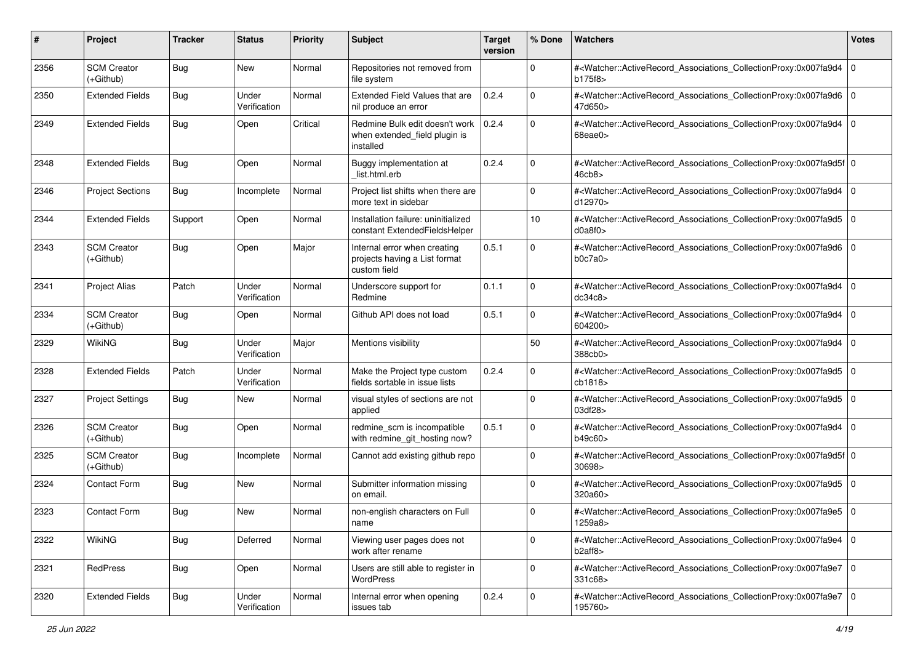| #    | Project                           | <b>Tracker</b> | <b>Status</b>         | <b>Priority</b> | <b>Subject</b>                                                                | <b>Target</b><br>version | % Done      | <b>Watchers</b>                                                                                                                                           | <b>Votes</b> |
|------|-----------------------------------|----------------|-----------------------|-----------------|-------------------------------------------------------------------------------|--------------------------|-------------|-----------------------------------------------------------------------------------------------------------------------------------------------------------|--------------|
| 2356 | <b>SCM Creator</b><br>$(+Github)$ | Bug            | New                   | Normal          | Repositories not removed from<br>file system                                  |                          | 0           | # <watcher::activerecord_associations_collectionproxy:0x007fa9d4  <br="">b175f8&gt;</watcher::activerecord_associations_collectionproxy:0x007fa9d4>       | l O          |
| 2350 | <b>Extended Fields</b>            | Bug            | Under<br>Verification | Normal          | Extended Field Values that are<br>nil produce an error                        | 0.2.4                    | $\Omega$    | # <watcher::activerecord_associations_collectionproxy:0x007fa9d6 0<br=""  ="">47d650&gt;</watcher::activerecord_associations_collectionproxy:0x007fa9d6>  |              |
| 2349 | <b>Extended Fields</b>            | Bug            | Open                  | Critical        | Redmine Bulk edit doesn't work<br>when extended_field plugin is<br>installed  | 0.2.4                    | $\mathbf 0$ | # <watcher::activerecord_associations_collectionproxy:0x007fa9d4 0<br=""  ="">68eae0&gt;</watcher::activerecord_associations_collectionproxy:0x007fa9d4>  |              |
| 2348 | <b>Extended Fields</b>            | Bug            | Open                  | Normal          | Buggy implementation at<br>list.html.erb                                      | 0.2.4                    | $\Omega$    | # <watcher::activerecord_associations_collectionproxy:0x007fa9d5f 0<br=""  ="">46cb8&gt;</watcher::activerecord_associations_collectionproxy:0x007fa9d5f> |              |
| 2346 | <b>Project Sections</b>           | Bug            | Incomplete            | Normal          | Project list shifts when there are<br>more text in sidebar                    |                          | $\mathbf 0$ | # <watcher::activerecord_associations_collectionproxy:0x007fa9d4<br>d12970&gt;</watcher::activerecord_associations_collectionproxy:0x007fa9d4<br>         | $\mathbf 0$  |
| 2344 | <b>Extended Fields</b>            | Support        | Open                  | Normal          | Installation failure: uninitialized<br>constant ExtendedFieldsHelper          |                          | 10          | # <watcher::activerecord_associations_collectionproxy:0x007fa9d5 0<br=""  ="">d0a8f0&gt;</watcher::activerecord_associations_collectionproxy:0x007fa9d5>  |              |
| 2343 | <b>SCM Creator</b><br>(+Github)   | Bug            | Open                  | Major           | Internal error when creating<br>projects having a List format<br>custom field | 0.5.1                    | $\Omega$    | # <watcher::activerecord_associations_collectionproxy:0x007fa9d6 0<br="">b0c7a0</watcher::activerecord_associations_collectionproxy:0x007fa9d6>           |              |
| 2341 | <b>Project Alias</b>              | Patch          | Under<br>Verification | Normal          | Underscore support for<br>Redmine                                             | 0.1.1                    | $\mathbf 0$ | # <watcher::activerecord_associations_collectionproxy:0x007fa9d4<br>dc34c8</watcher::activerecord_associations_collectionproxy:0x007fa9d4<br>             | $\mathbf 0$  |
| 2334 | <b>SCM Creator</b><br>(+Github)   | Bug            | Open                  | Normal          | Github API does not load                                                      | 0.5.1                    | 0           | # <watcher::activerecord_associations_collectionproxy:0x007fa9d4<br>604200&gt;</watcher::activerecord_associations_collectionproxy:0x007fa9d4<br>         | $\mathbf 0$  |
| 2329 | <b>WikiNG</b>                     | Bug            | Under<br>Verification | Major           | Mentions visibility                                                           |                          | 50          | # <watcher::activerecord_associations_collectionproxy:0x007fa9d4<br>388cb0&gt;</watcher::activerecord_associations_collectionproxy:0x007fa9d4<br>         | $\mathbf 0$  |
| 2328 | <b>Extended Fields</b>            | Patch          | Under<br>Verification | Normal          | Make the Project type custom<br>fields sortable in issue lists                | 0.2.4                    | $\mathbf 0$ | # <watcher::activerecord_associations_collectionproxy:0x007fa9d5 0<br=""  ="">cb1818&gt;</watcher::activerecord_associations_collectionproxy:0x007fa9d5>  |              |
| 2327 | <b>Project Settings</b>           | Bug            | New                   | Normal          | visual styles of sections are not<br>applied                                  |                          | $\mathbf 0$ | # <watcher::activerecord_associations_collectionproxy:0x007fa9d5 0<br="">03df28&gt;</watcher::activerecord_associations_collectionproxy:0x007fa9d5>       |              |
| 2326 | <b>SCM Creator</b><br>(+Github)   | Bug            | Open                  | Normal          | redmine_scm is incompatible<br>with redmine_git_hosting now?                  | 0.5.1                    | 0           | # <watcher::activerecord_associations_collectionproxy:0x007fa9d4 0<br="">b49c60&gt;</watcher::activerecord_associations_collectionproxy:0x007fa9d4>       |              |
| 2325 | <b>SCM Creator</b><br>$(+Github)$ | Bug            | Incomplete            | Normal          | Cannot add existing github repo                                               |                          | 0           | # <watcher::activerecord_associations_collectionproxy:0x007fa9d5f 0<br="">30698&gt;</watcher::activerecord_associations_collectionproxy:0x007fa9d5f>      |              |
| 2324 | Contact Form                      | Bug            | New                   | Normal          | Submitter information missing<br>on email.                                    |                          | $\Omega$    | # <watcher::activerecord_associations_collectionproxy:0x007fa9d5 0<br="">320a60&gt;</watcher::activerecord_associations_collectionproxy:0x007fa9d5>       |              |
| 2323 | <b>Contact Form</b>               | Bug            | New                   | Normal          | non-english characters on Full<br>name                                        |                          | $\Omega$    | # <watcher::activerecord_associations_collectionproxy:0x007fa9e5 0<br=""  ="">1259a8&gt;</watcher::activerecord_associations_collectionproxy:0x007fa9e5>  |              |
| 2322 | <b>WikiNG</b>                     | <b>Bug</b>     | Deferred              | Normal          | Viewing user pages does not<br>work after rename                              |                          | 0           | # <watcher::activerecord_associations_collectionproxy:0x007fa9e4 0<br=""  ="">b2aff8</watcher::activerecord_associations_collectionproxy:0x007fa9e4>      |              |
| 2321 | RedPress                          | <b>Bug</b>     | Open                  | Normal          | Users are still able to register in<br>WordPress                              |                          | $\mathbf 0$ | # <watcher::activerecord_associations_collectionproxy:0x007fa9e7 0<br="">331c68&gt;</watcher::activerecord_associations_collectionproxy:0x007fa9e7>       |              |
| 2320 | <b>Extended Fields</b>            | Bug            | Under<br>Verification | Normal          | Internal error when opening<br>issues tab                                     | 0.2.4                    | 0           | # <watcher::activerecord_associations_collectionproxy:0x007fa9e7 0<br="">195760&gt;</watcher::activerecord_associations_collectionproxy:0x007fa9e7>       |              |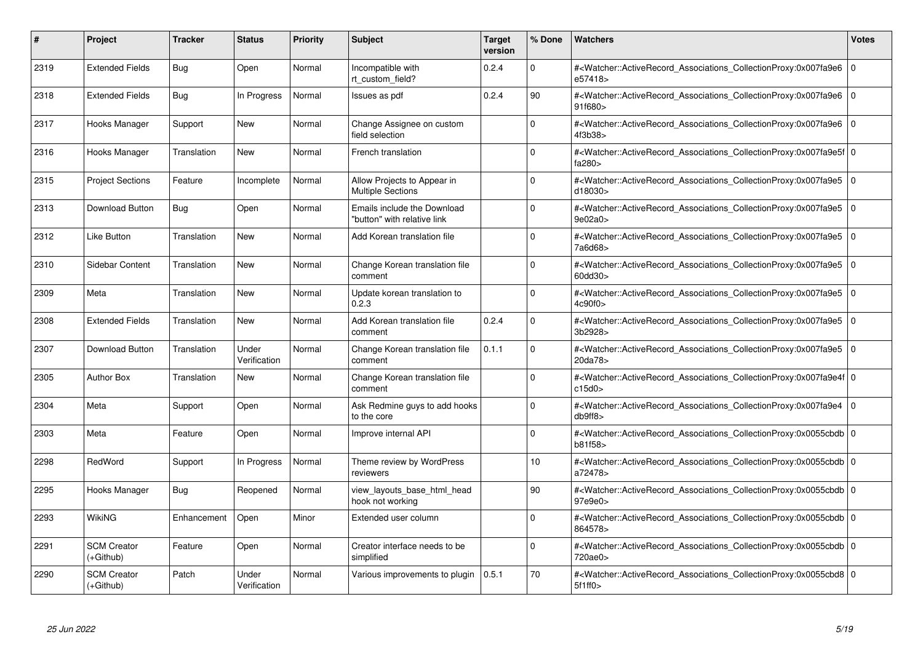| #    | Project                           | <b>Tracker</b> | <b>Status</b>         | <b>Priority</b> | <b>Subject</b>                                             | <b>Target</b><br>version | % Done      | <b>Watchers</b>                                                                                                                                          | <b>Votes</b>   |
|------|-----------------------------------|----------------|-----------------------|-----------------|------------------------------------------------------------|--------------------------|-------------|----------------------------------------------------------------------------------------------------------------------------------------------------------|----------------|
| 2319 | <b>Extended Fields</b>            | Bug            | Open                  | Normal          | Incompatible with<br>rt custom field?                      | 0.2.4                    | $\Omega$    | # <watcher::activerecord associations="" collectionproxy:0x007fa9e6<br="">e57418&gt;</watcher::activerecord>                                             | l 0            |
| 2318 | <b>Extended Fields</b>            | <b>Bug</b>     | In Progress           | Normal          | Issues as pdf                                              | 0.2.4                    | 90          | # <watcher::activerecord 0<br="" associations="" collectionproxy:0x007fa9e6=""  ="">91f680&gt;</watcher::activerecord>                                   |                |
| 2317 | Hooks Manager                     | Support        | <b>New</b>            | Normal          | Change Assignee on custom<br>field selection               |                          | $\Omega$    | # <watcher::activerecord_associations_collectionproxy:0x007fa9e6 0<br="">4f3b38&gt;</watcher::activerecord_associations_collectionproxy:0x007fa9e6>      |                |
| 2316 | Hooks Manager                     | Translation    | New                   | Normal          | French translation                                         |                          | $\Omega$    | # <watcher::activerecord 0<br="" associations="" collectionproxy:0x007fa9e5f=""  ="">fa280&gt;</watcher::activerecord>                                   |                |
| 2315 | <b>Project Sections</b>           | Feature        | Incomplete            | Normal          | Allow Projects to Appear in<br><b>Multiple Sections</b>    |                          | $\Omega$    | # <watcher::activerecord_associations_collectionproxy:0x007fa9e5 0<br=""  ="">d18030&gt;</watcher::activerecord_associations_collectionproxy:0x007fa9e5> |                |
| 2313 | Download Button                   | Bug            | Open                  | Normal          | Emails include the Download<br>"button" with relative link |                          | $\Omega$    | # <watcher::activerecord_associations_collectionproxy:0x007fa9e5 0<br=""  ="">9e02a0&gt;</watcher::activerecord_associations_collectionproxy:0x007fa9e5> |                |
| 2312 | Like Button                       | Translation    | New                   | Normal          | Add Korean translation file                                |                          | $\Omega$    | # <watcher::activerecord associations="" collectionproxy:0x007fa9e5<br="">7a6d68&gt;</watcher::activerecord>                                             | l 0            |
| 2310 | Sidebar Content                   | Translation    | New                   | Normal          | Change Korean translation file<br>comment                  |                          | $\Omega$    | # <watcher::activerecord_associations_collectionproxy:0x007fa9e5 0<br=""  ="">60dd30&gt;</watcher::activerecord_associations_collectionproxy:0x007fa9e5> |                |
| 2309 | Meta                              | Translation    | <b>New</b>            | Normal          | Update korean translation to<br>0.2.3                      |                          | $\Omega$    | # <watcher::activerecord_associations_collectionproxy:0x007fa9e5<br>4c90f0&gt;</watcher::activerecord_associations_collectionproxy:0x007fa9e5<br>        | $\overline{0}$ |
| 2308 | <b>Extended Fields</b>            | Translation    | <b>New</b>            | Normal          | Add Korean translation file<br>comment                     | 0.2.4                    | $\Omega$    | # <watcher::activerecord 0<br="" associations="" collectionproxy:0x007fa9e5=""  ="">3b2928&gt;</watcher::activerecord>                                   |                |
| 2307 | Download Button                   | Translation    | Under<br>Verification | Normal          | Change Korean translation file<br>comment                  | 0.1.1                    | $\Omega$    | # <watcher::activerecord_associations_collectionproxy:0x007fa9e5 0<br=""  ="">20da78&gt;</watcher::activerecord_associations_collectionproxy:0x007fa9e5> |                |
| 2305 | <b>Author Box</b>                 | Translation    | <b>New</b>            | Normal          | Change Korean translation file<br>comment                  |                          | $\Omega$    | # <watcher::activerecord 0<br="" associations="" collectionproxy:0x007fa9e4f=""  ="">c15d0</watcher::activerecord>                                       |                |
| 2304 | Meta                              | Support        | Open                  | Normal          | Ask Redmine guys to add hooks<br>to the core               |                          | $\mathbf 0$ | # <watcher::activerecord 0<br="" associations="" collectionproxy:0x007fa9e4=""  ="">db9ff8</watcher::activerecord>                                       |                |
| 2303 | Meta                              | Feature        | Open                  | Normal          | Improve internal API                                       |                          | $\Omega$    | # <watcher::activerecord_associations_collectionproxy:0x0055cbdb 0<br="">b81f58&gt;</watcher::activerecord_associations_collectionproxy:0x0055cbdb>      |                |
| 2298 | RedWord                           | Support        | In Progress           | Normal          | Theme review by WordPress<br>reviewers                     |                          | 10          | # <watcher::activerecord 0<br="" associations="" collectionproxy:0x0055cbdb=""  ="">a72478&gt;</watcher::activerecord>                                   |                |
| 2295 | Hooks Manager                     | Bug            | Reopened              | Normal          | view_layouts_base_html_head<br>hook not working            |                          | 90          | # <watcher::activerecord_associations_collectionproxy:0x0055cbdb 0<br="">97e9e0&gt;</watcher::activerecord_associations_collectionproxy:0x0055cbdb>      |                |
| 2293 | WikiNG                            | Enhancement    | Open                  | Minor           | Extended user column                                       |                          | $\Omega$    | # <watcher::activerecord_associations_collectionproxy:0x0055cbdb 0<br=""  ="">864578&gt;</watcher::activerecord_associations_collectionproxy:0x0055cbdb> |                |
| 2291 | <b>SCM Creator</b><br>(+Github)   | Feature        | Open                  | Normal          | Creator interface needs to be<br>simplified                |                          | $\mathbf 0$ | # <watcher::activerecord 0<br="" associations="" collectionproxy:0x0055cbdb=""  ="">720ae0&gt;</watcher::activerecord>                                   |                |
| 2290 | <b>SCM Creator</b><br>$(+Github)$ | Patch          | Under<br>Verification | Normal          | Various improvements to plugin                             | 0.5.1                    | 70          | # <watcher::activerecord_associations_collectionproxy:0x0055cbd8 0<br=""  ="">5f1ff0</watcher::activerecord_associations_collectionproxy:0x0055cbd8>     |                |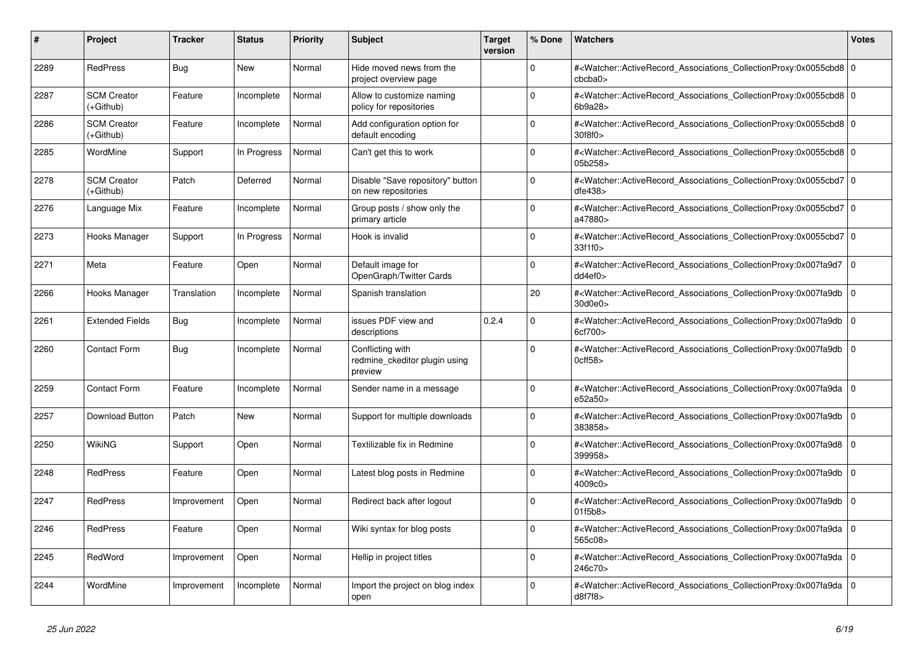| #    | Project                         | <b>Tracker</b> | <b>Status</b> | <b>Priority</b> | <b>Subject</b>                                               | <b>Target</b><br>version | % Done      | <b>Watchers</b>                                                                                                                                                           | <b>Votes</b> |
|------|---------------------------------|----------------|---------------|-----------------|--------------------------------------------------------------|--------------------------|-------------|---------------------------------------------------------------------------------------------------------------------------------------------------------------------------|--------------|
| 2289 | <b>RedPress</b>                 | Bug            | <b>New</b>    | Normal          | Hide moved news from the<br>project overview page            |                          | $\Omega$    | # <watcher::activerecord_associations_collectionproxy:0x0055cbd8 0<br=""  ="">cbcba0<sub>&gt;</sub></watcher::activerecord_associations_collectionproxy:0x0055cbd8>       |              |
| 2287 | <b>SCM Creator</b><br>(+Github) | Feature        | Incomplete    | Normal          | Allow to customize naming<br>policy for repositories         |                          | $\Omega$    | # <watcher::activerecord_associations_collectionproxy:0x0055cbd8 0<br=""  ="">6b9a28&gt;</watcher::activerecord_associations_collectionproxy:0x0055cbd8>                  |              |
| 2286 | <b>SCM Creator</b><br>(+Github) | Feature        | Incomplete    | Normal          | Add configuration option for<br>default encoding             |                          | $\Omega$    | # <watcher::activerecord 0<br="" associations="" collectionproxy:0x0055cbd8=""  ="">30f8f0</watcher::activerecord>                                                        |              |
| 2285 | WordMine                        | Support        | In Progress   | Normal          | Can't get this to work                                       |                          | $\Omega$    | # <watcher::activerecord_associations_collectionproxy:0x0055cbd8 0<br=""  ="">05b258&gt;</watcher::activerecord_associations_collectionproxy:0x0055cbd8>                  |              |
| 2278 | <b>SCM Creator</b><br>(+Github) | Patch          | Deferred      | Normal          | Disable "Save repository" button<br>on new repositories      |                          | $\Omega$    | # <watcher::activerecord_associations_collectionproxy:0x0055cbd7 0<br=""  ="">dfe438</watcher::activerecord_associations_collectionproxy:0x0055cbd7>                      |              |
| 2276 | Language Mix                    | Feature        | Incomplete    | Normal          | Group posts / show only the<br>primary article               |                          | $\Omega$    | # <watcher::activerecord 0<br="" associations="" collectionproxy:0x0055cbd7=""  ="">a47880&gt;</watcher::activerecord>                                                    |              |
| 2273 | Hooks Manager                   | Support        | In Progress   | Normal          | Hook is invalid                                              |                          | $\Omega$    | # <watcher::activerecord_associations_collectionproxy:0x0055cbd7 0<br=""  ="">33f1f0&gt;</watcher::activerecord_associations_collectionproxy:0x0055cbd7>                  |              |
| 2271 | Meta                            | Feature        | Open          | Normal          | Default image for<br>OpenGraph/Twitter Cards                 |                          | $\mathbf 0$ | # <watcher::activerecord_associations_collectionproxy:0x007fa9d7  <br="">dd4ef0&gt;</watcher::activerecord_associations_collectionproxy:0x007fa9d7>                       | l o          |
| 2266 | Hooks Manager                   | Translation    | Incomplete    | Normal          | Spanish translation                                          |                          | 20          | # <watcher::activerecord_associations_collectionproxy:0x007fa9db 0<br=""  ="">30d0e0&gt;</watcher::activerecord_associations_collectionproxy:0x007fa9db>                  |              |
| 2261 | <b>Extended Fields</b>          | Bug            | Incomplete    | Normal          | issues PDF view and<br>descriptions                          | 0.2.4                    | $\Omega$    | # <watcher::activerecord associations="" collectionproxy:0x007fa9db<br="">6cf700&gt;</watcher::activerecord>                                                              | $\mathbf 0$  |
| 2260 | <b>Contact Form</b>             | Bug            | Incomplete    | Normal          | Conflicting with<br>redmine ckeditor plugin using<br>preview |                          | $\mathbf 0$ | # <watcher::activerecord_associations_collectionproxy:0x007fa9db  <br=""><math>0</math>cff<math>58</math></watcher::activerecord_associations_collectionproxy:0x007fa9db> | $\mathbf 0$  |
| 2259 | <b>Contact Form</b>             | Feature        | Incomplete    | Normal          | Sender name in a message                                     |                          | $\Omega$    | # <watcher::activerecord_associations_collectionproxy:0x007fa9da 0<br=""  ="">e52a50&gt;</watcher::activerecord_associations_collectionproxy:0x007fa9da>                  |              |
| 2257 | Download Button                 | Patch          | New           | Normal          | Support for multiple downloads                               |                          | $\Omega$    | # <watcher::activerecord associations="" collectionproxy:0x007fa9db<br="">383858&gt;</watcher::activerecord>                                                              | $\mathbf 0$  |
| 2250 | <b>WikiNG</b>                   | Support        | Open          | Normal          | Textilizable fix in Redmine                                  |                          | $\mathbf 0$ | # <watcher::activerecord associations="" collectionproxy:0x007fa9d8<br="">399958&gt;</watcher::activerecord>                                                              | $\mathbf 0$  |
| 2248 | <b>RedPress</b>                 | Feature        | Open          | Normal          | Latest blog posts in Redmine                                 |                          | $\Omega$    | # <watcher::activerecord_associations_collectionproxy:0x007fa9db  <br="">4009c0&gt;</watcher::activerecord_associations_collectionproxy:0x007fa9db>                       | $\mathbf 0$  |
| 2247 | <b>RedPress</b>                 | Improvement    | Open          | Normal          | Redirect back after logout                                   |                          | $\Omega$    | # <watcher::activerecord associations="" collectionproxy:0x007fa9db<br="">01f5b8</watcher::activerecord>                                                                  | $\mathbf 0$  |
| 2246 | <b>RedPress</b>                 | Feature        | Open          | Normal          | Wiki syntax for blog posts                                   |                          | $\Omega$    | # <watcher::activerecord_associations_collectionproxy:0x007fa9da 0<br=""  ="">565c08&gt;</watcher::activerecord_associations_collectionproxy:0x007fa9da>                  |              |
| 2245 | RedWord                         | Improvement    | Open          | Normal          | Hellip in project titles                                     |                          | $\Omega$    | # <watcher::activerecord 0<br="" associations="" collectionproxy:0x007fa9da=""  ="">246c70&gt;</watcher::activerecord>                                                    |              |
| 2244 | WordMine                        | Improvement    | Incomplete    | Normal          | Import the project on blog index<br>open                     |                          | $\Omega$    | # <watcher::activerecord_associations_collectionproxy:0x007fa9da<br>d8f7f8&gt;</watcher::activerecord_associations_collectionproxy:0x007fa9da<br>                         | $\mathbf 0$  |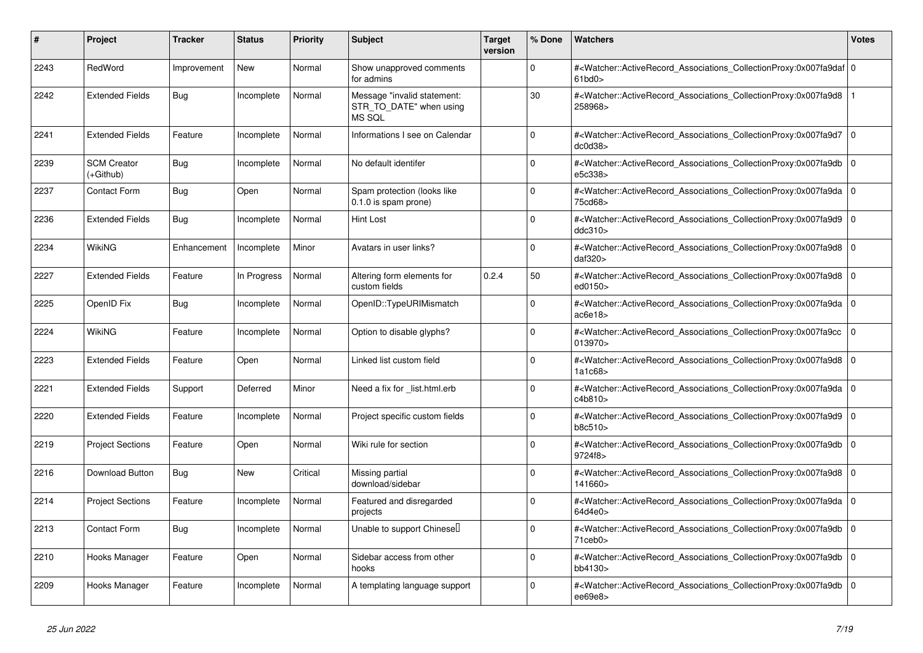| #    | Project                         | <b>Tracker</b> | <b>Status</b> | <b>Priority</b> | <b>Subject</b>                                                   | <b>Target</b><br>version | % Done      | Watchers                                                                                                                                                                        | Votes    |
|------|---------------------------------|----------------|---------------|-----------------|------------------------------------------------------------------|--------------------------|-------------|---------------------------------------------------------------------------------------------------------------------------------------------------------------------------------|----------|
| 2243 | RedWord                         | Improvement    | <b>New</b>    | Normal          | Show unapproved comments<br>for admins                           |                          | $\Omega$    | # <watcher::activerecord_associations_collectionproxy:0x007fa9daf 0<br=""  =""><math>61</math>bd<math>0</math></watcher::activerecord_associations_collectionproxy:0x007fa9daf> |          |
| 2242 | <b>Extended Fields</b>          | <b>Bug</b>     | Incomplete    | Normal          | Message "invalid statement:<br>STR_TO_DATE" when using<br>MS SQL |                          | 30          | # <watcher::activerecord_associations_collectionproxy:0x007fa9d8<br>258968&gt;</watcher::activerecord_associations_collectionproxy:0x007fa9d8<br>                               |          |
| 2241 | <b>Extended Fields</b>          | Feature        | Incomplete    | Normal          | Informations I see on Calendar                                   |                          | $\Omega$    | # <watcher::activerecord associations="" collectionproxy:0x007fa9d7<br="">dc0d38&gt;</watcher::activerecord>                                                                    | ۱o       |
| 2239 | <b>SCM Creator</b><br>(+Github) | <b>Bug</b>     | Incomplete    | Normal          | No default identifer                                             |                          | $\Omega$    | # <watcher::activerecord associations="" collectionproxy:0x007fa9db<br="">e5c338&gt;</watcher::activerecord>                                                                    | 0 I      |
| 2237 | <b>Contact Form</b>             | Bug            | Open          | Normal          | Spam protection (looks like<br>0.1.0 is spam prone)              |                          | $\Omega$    | # <watcher::activerecord_associations_collectionproxy:0x007fa9da 0<br=""  ="">75cd68&gt;</watcher::activerecord_associations_collectionproxy:0x007fa9da>                        |          |
| 2236 | <b>Extended Fields</b>          | <b>Bug</b>     | Incomplete    | Normal          | Hint Lost                                                        |                          | $\Omega$    | # <watcher::activerecord associations="" collectionproxy:0x007fa9d9<br="">ddc310&gt;</watcher::activerecord>                                                                    | 0 I      |
| 2234 | <b>WikiNG</b>                   | Enhancement    | Incomplete    | Minor           | Avatars in user links?                                           |                          | $\Omega$    | # <watcher::activerecord_associations_collectionproxy:0x007fa9d8<br>daf320&gt;</watcher::activerecord_associations_collectionproxy:0x007fa9d8<br>                               | 0        |
| 2227 | <b>Extended Fields</b>          | Feature        | In Progress   | Normal          | Altering form elements for<br>custom fields                      | 0.2.4                    | 50          | # <watcher::activerecord_associations_collectionproxy:0x007fa9d8<br>ed0150&gt;</watcher::activerecord_associations_collectionproxy:0x007fa9d8<br>                               | l O      |
| 2225 | OpenID Fix                      | Bug            | Incomplete    | Normal          | OpenID::TypeURIMismatch                                          |                          | $\Omega$    | # <watcher::activerecord_associations_collectionproxy:0x007fa9da<br>ac6e18</watcher::activerecord_associations_collectionproxy:0x007fa9da<br>                                   | l o      |
| 2224 | WikiNG                          | Feature        | Incomplete    | Normal          | Option to disable glyphs?                                        |                          | $\Omega$    | # <watcher::activerecord_associations_collectionproxy:0x007fa9cc<br>013970&gt;</watcher::activerecord_associations_collectionproxy:0x007fa9cc<br>                               | $\Omega$ |
| 2223 | <b>Extended Fields</b>          | Feature        | Open          | Normal          | Linked list custom field                                         |                          | $\Omega$    | # <watcher::activerecord associations="" collectionproxy:0x007fa9d8<br="">1a1c68&gt;</watcher::activerecord>                                                                    | ۱o       |
| 2221 | <b>Extended Fields</b>          | Support        | Deferred      | Minor           | Need a fix for list.html.erb                                     |                          | $\Omega$    | # <watcher::activerecord associations="" collectionproxy:0x007fa9da<br="">c4b810&gt;</watcher::activerecord>                                                                    | l 0      |
| 2220 | <b>Extended Fields</b>          | Feature        | Incomplete    | Normal          | Project specific custom fields                                   |                          | $\Omega$    | # <watcher::activerecord_associations_collectionproxy:0x007fa9d9<br>b8c510&gt;</watcher::activerecord_associations_collectionproxy:0x007fa9d9<br>                               | 0 I      |
| 2219 | <b>Project Sections</b>         | Feature        | Open          | Normal          | Wiki rule for section                                            |                          | $\Omega$    | # <watcher::activerecord associations="" collectionproxy:0x007fa9db<br="">9724f8&gt;</watcher::activerecord>                                                                    | l O      |
| 2216 | <b>Download Button</b>          | <b>Bug</b>     | <b>New</b>    | Critical        | Missing partial<br>download/sidebar                              |                          | $\Omega$    | # <watcher::activerecord associations="" collectionproxy:0x007fa9d8<br="">141660&gt;</watcher::activerecord>                                                                    | 0 I      |
| 2214 | <b>Project Sections</b>         | Feature        | Incomplete    | Normal          | Featured and disregarded<br>projects                             |                          | $\mathbf 0$ | # <watcher::activerecord_associations_collectionproxy:0x007fa9da<br>64d4e0&gt;</watcher::activerecord_associations_collectionproxy:0x007fa9da<br>                               | 0        |
| 2213 | Contact Form                    | <b>Bug</b>     | Incomplete    | Normal          | Unable to support Chinesell                                      |                          | $\Omega$    | # <watcher::activerecord_associations_collectionproxy:0x007fa9db<br><math>71</math>ceb<math>0</math></watcher::activerecord_associations_collectionproxy:0x007fa9db<br>         | l O      |
| 2210 | Hooks Manager                   | Feature        | Open          | Normal          | Sidebar access from other<br>hooks                               |                          | $\Omega$    | # <watcher::activerecord associations="" collectionproxy:0x007fa9db<br="">bb4130&gt;</watcher::activerecord>                                                                    | 0 I      |
| 2209 | Hooks Manager                   | Feature        | Incomplete    | Normal          | A templating language support                                    |                          | $\Omega$    | # <watcher::activerecord_associations_collectionproxy:0x007fa9db<br>ee69e8&gt;</watcher::activerecord_associations_collectionproxy:0x007fa9db<br>                               | 0        |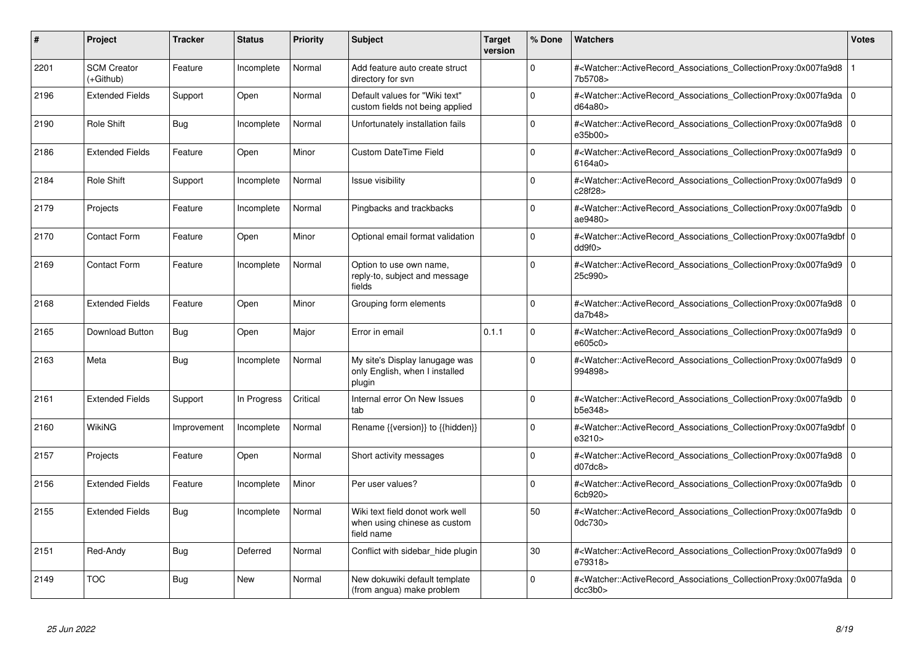| #    | Project                         | <b>Tracker</b> | <b>Status</b> | <b>Priority</b> | <b>Subject</b>                                                                | <b>Target</b><br>version | % Done   | <b>Watchers</b>                                                                                                                                                                                  | <b>Votes</b> |
|------|---------------------------------|----------------|---------------|-----------------|-------------------------------------------------------------------------------|--------------------------|----------|--------------------------------------------------------------------------------------------------------------------------------------------------------------------------------------------------|--------------|
| 2201 | <b>SCM Creator</b><br>(+Github) | Feature        | Incomplete    | Normal          | Add feature auto create struct<br>directory for svn                           |                          | $\Omega$ | # <watcher::activerecord associations="" collectionproxy:0x007fa9d8<br="">7b5708&gt;</watcher::activerecord>                                                                                     |              |
| 2196 | <b>Extended Fields</b>          | Support        | Open          | Normal          | Default values for "Wiki text"<br>custom fields not being applied             |                          | $\Omega$ | # <watcher::activerecord associations="" collectionproxy:0x007fa9da<br="">d64a80&gt;</watcher::activerecord>                                                                                     | l O          |
| 2190 | Role Shift                      | Bug            | Incomplete    | Normal          | Unfortunately installation fails                                              |                          | $\Omega$ | # <watcher::activerecord 0<br="" associations="" collectionproxy:0x007fa9d8=""  ="">e35b00&gt;</watcher::activerecord>                                                                           |              |
| 2186 | <b>Extended Fields</b>          | Feature        | Open          | Minor           | Custom DateTime Field                                                         |                          | $\Omega$ | # <watcher::activerecord_associations_collectionproxy:0x007fa9d9<br>6164a0</watcher::activerecord_associations_collectionproxy:0x007fa9d9<br>                                                    | l O          |
| 2184 | Role Shift                      | Support        | Incomplete    | Normal          | Issue visibility                                                              |                          | $\Omega$ | # <watcher::activerecord_associations_collectionproxy:0x007fa9d9<br>c28f28&gt;</watcher::activerecord_associations_collectionproxy:0x007fa9d9<br>                                                | l O          |
| 2179 | Projects                        | Feature        | Incomplete    | Normal          | Pingbacks and trackbacks                                                      |                          | $\Omega$ | # <watcher::activerecord_associations_collectionproxy:0x007fa9db<br>ae9480&gt;</watcher::activerecord_associations_collectionproxy:0x007fa9db<br>                                                | $\Omega$     |
| 2170 | <b>Contact Form</b>             | Feature        | Open          | Minor           | Optional email format validation                                              |                          | $\Omega$ | # <watcher::activerecord_associations_collectionproxy:0x007fa9dbf 0<br=""  =""><math>d</math>d<math>9f</math>0<math>&gt;</math></watcher::activerecord_associations_collectionproxy:0x007fa9dbf> |              |
| 2169 | <b>Contact Form</b>             | Feature        | Incomplete    | Normal          | Option to use own name,<br>reply-to, subject and message<br>fields            |                          | $\Omega$ | # <watcher::activerecord associations="" collectionproxy:0x007fa9d9<br="">25c990&gt;</watcher::activerecord>                                                                                     | $\mathbf 0$  |
| 2168 | <b>Extended Fields</b>          | Feature        | Open          | Minor           | Grouping form elements                                                        |                          | $\Omega$ | # <watcher::activerecord_associations_collectionproxy:0x007fa9d8 0<br=""  ="">da7b48</watcher::activerecord_associations_collectionproxy:0x007fa9d8>                                             |              |
| 2165 | Download Button                 | <b>Bug</b>     | Open          | Major           | Error in email                                                                | 0.1.1                    | $\Omega$ | # <watcher::activerecord_associations_collectionproxy:0x007fa9d9<br>e605c0&gt;</watcher::activerecord_associations_collectionproxy:0x007fa9d9<br>                                                | l O          |
| 2163 | Meta                            | Bug            | Incomplete    | Normal          | My site's Display lanugage was<br>only English, when I installed<br>plugin    |                          | $\Omega$ | # <watcher::activerecord_associations_collectionproxy:0x007fa9d9<br>994898&gt;</watcher::activerecord_associations_collectionproxy:0x007fa9d9<br>                                                | $\Omega$     |
| 2161 | <b>Extended Fields</b>          | Support        | In Progress   | Critical        | Internal error On New Issues<br>tab                                           |                          | $\Omega$ | # <watcher::activerecord associations="" collectionproxy:0x007fa9db<br="">b5e348&gt;</watcher::activerecord>                                                                                     | l O          |
| 2160 | WikiNG                          | Improvement    | Incomplete    | Normal          | Rename {{version}} to {{hidden}}                                              |                          | $\Omega$ | # <watcher::activerecord_associations_collectionproxy:0x007fa9dbf 0<br=""  ="">e3210&gt;</watcher::activerecord_associations_collectionproxy:0x007fa9dbf>                                        |              |
| 2157 | Projects                        | Feature        | Open          | Normal          | Short activity messages                                                       |                          | $\Omega$ | # <watcher::activerecord_associations_collectionproxy:0x007fa9d8 0<br=""  ="">d07dc8</watcher::activerecord_associations_collectionproxy:0x007fa9d8>                                             |              |
| 2156 | <b>Extended Fields</b>          | Feature        | Incomplete    | Minor           | Per user values?                                                              |                          | $\Omega$ | # <watcher::activerecord_associations_collectionproxy:0x007fa9db<br>6cb920&gt;</watcher::activerecord_associations_collectionproxy:0x007fa9db<br>                                                | $\Omega$     |
| 2155 | <b>Extended Fields</b>          | Bug            | Incomplete    | Normal          | Wiki text field donot work well<br>when using chinese as custom<br>field name |                          | 50       | # <watcher::activerecord_associations_collectionproxy:0x007fa9db<br>0dc730&gt;</watcher::activerecord_associations_collectionproxy:0x007fa9db<br>                                                | $\mathbf 0$  |
| 2151 | Red-Andy                        | <b>Bug</b>     | Deferred      | Normal          | Conflict with sidebar_hide plugin                                             |                          | 30       | # <watcher::activerecord_associations_collectionproxy:0x007fa9d9<br>e79318&gt;</watcher::activerecord_associations_collectionproxy:0x007fa9d9<br>                                                | l O          |
| 2149 | <b>TOC</b>                      | <b>Bug</b>     | New           | Normal          | New dokuwiki default template<br>(from angua) make problem                    |                          | $\Omega$ | # <watcher::activerecord_associations_collectionproxy:0x007fa9da<br>dcc3b0&gt;</watcher::activerecord_associations_collectionproxy:0x007fa9da<br>                                                | l O          |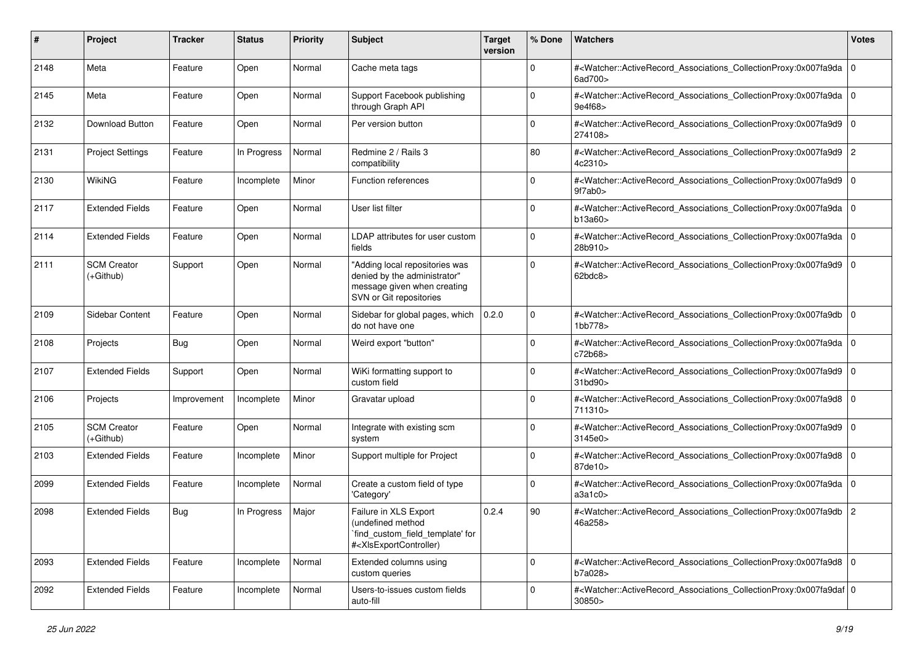| #    | Project                           | <b>Tracker</b> | <b>Status</b> | <b>Priority</b> | <b>Subject</b>                                                                                                                                                                                                                                                                                                                         | <b>Target</b><br>version | % Done      | Watchers                                                                                                                                                   | <b>Votes</b> |
|------|-----------------------------------|----------------|---------------|-----------------|----------------------------------------------------------------------------------------------------------------------------------------------------------------------------------------------------------------------------------------------------------------------------------------------------------------------------------------|--------------------------|-------------|------------------------------------------------------------------------------------------------------------------------------------------------------------|--------------|
| 2148 | Meta                              | Feature        | Open          | Normal          | Cache meta tags                                                                                                                                                                                                                                                                                                                        |                          | 0           | # <watcher::activerecord_associations_collectionproxy:0x007fa9da 0<br="">6ad700&gt;</watcher::activerecord_associations_collectionproxy:0x007fa9da>        |              |
| 2145 | Meta                              | Feature        | Open          | Normal          | Support Facebook publishing<br>through Graph API                                                                                                                                                                                                                                                                                       |                          | $\Omega$    | # <watcher::activerecord_associations_collectionproxy:0x007fa9da 0<br="">9e4f68&gt;</watcher::activerecord_associations_collectionproxy:0x007fa9da>        |              |
| 2132 | Download Button                   | Feature        | Open          | Normal          | Per version button                                                                                                                                                                                                                                                                                                                     |                          | $\mathbf 0$ | # <watcher::activerecord_associations_collectionproxy:0x007fa9d9 0<br=""  ="">274108&gt;</watcher::activerecord_associations_collectionproxy:0x007fa9d9>   |              |
| 2131 | <b>Project Settings</b>           | Feature        | In Progress   | Normal          | Redmine 2 / Rails 3<br>compatibility                                                                                                                                                                                                                                                                                                   |                          | 80          | # <watcher::activerecord_associations_collectionproxy:0x007fa9d9 2<br="">4c2310&gt;</watcher::activerecord_associations_collectionproxy:0x007fa9d9>        |              |
| 2130 | <b>WikiNG</b>                     | Feature        | Incomplete    | Minor           | Function references                                                                                                                                                                                                                                                                                                                    |                          | $\mathbf 0$ | # <watcher::activerecord_associations_collectionproxy:0x007fa9d9 0<br=""  ="">9f7ab0&gt;</watcher::activerecord_associations_collectionproxy:0x007fa9d9>   |              |
| 2117 | <b>Extended Fields</b>            | Feature        | Open          | Normal          | User list filter                                                                                                                                                                                                                                                                                                                       |                          | $\Omega$    | # <watcher::activerecord_associations_collectionproxy:0x007fa9da 0<br=""  ="">b13a60&gt;</watcher::activerecord_associations_collectionproxy:0x007fa9da>   |              |
| 2114 | <b>Extended Fields</b>            | Feature        | Open          | Normal          | LDAP attributes for user custom<br>fields                                                                                                                                                                                                                                                                                              |                          | $\Omega$    | # <watcher::activerecord_associations_collectionproxy:0x007fa9da 0<br=""  ="">28b910&gt;</watcher::activerecord_associations_collectionproxy:0x007fa9da>   |              |
| 2111 | <b>SCM Creator</b><br>$(+Github)$ | Support        | Open          | Normal          | "Adding local repositories was<br>denied by the administrator"<br>message given when creating<br>SVN or Git repositories                                                                                                                                                                                                               |                          | $\mathbf 0$ | # <watcher::activerecord_associations_collectionproxy:0x007fa9d9 0<br=""  ="">62bdc8&gt;</watcher::activerecord_associations_collectionproxy:0x007fa9d9>   |              |
| 2109 | Sidebar Content                   | Feature        | Open          | Normal          | Sidebar for global pages, which<br>do not have one                                                                                                                                                                                                                                                                                     | 0.2.0                    | $\mathbf 0$ | # <watcher::activerecord_associations_collectionproxy:0x007fa9db 0<br="">1bb778&gt;</watcher::activerecord_associations_collectionproxy:0x007fa9db>        |              |
| 2108 | Projects                          | Bug            | Open          | Normal          | Weird export "button"                                                                                                                                                                                                                                                                                                                  |                          | $\mathbf 0$ | # <watcher::activerecord_associations_collectionproxy:0x007fa9da 0<br="">c72b68&gt;</watcher::activerecord_associations_collectionproxy:0x007fa9da>        |              |
| 2107 | <b>Extended Fields</b>            | Support        | Open          | Normal          | WiKi formatting support to<br>custom field                                                                                                                                                                                                                                                                                             |                          | $\mathbf 0$ | # <watcher::activerecord_associations_collectionproxy:0x007fa9d9 0<br="">31<sub>bd90</sub></watcher::activerecord_associations_collectionproxy:0x007fa9d9> |              |
| 2106 | Projects                          | Improvement    | Incomplete    | Minor           | Gravatar upload                                                                                                                                                                                                                                                                                                                        |                          | $\Omega$    | # <watcher::activerecord_associations_collectionproxy:0x007fa9d8 0<br=""  ="">711310&gt;</watcher::activerecord_associations_collectionproxy:0x007fa9d8>   |              |
| 2105 | <b>SCM Creator</b><br>$(+Github)$ | Feature        | Open          | Normal          | Integrate with existing scm<br>system                                                                                                                                                                                                                                                                                                  |                          | $\Omega$    | # <watcher::activerecord_associations_collectionproxy:0x007fa9d9 0<br=""  ="">3145e0&gt;</watcher::activerecord_associations_collectionproxy:0x007fa9d9>   |              |
| 2103 | <b>Extended Fields</b>            | Feature        | Incomplete    | Minor           | Support multiple for Project                                                                                                                                                                                                                                                                                                           |                          | $\mathbf 0$ | # <watcher::activerecord_associations_collectionproxy:0x007fa9d8 0<br=""  ="">87de10&gt;</watcher::activerecord_associations_collectionproxy:0x007fa9d8>   |              |
| 2099 | <b>Extended Fields</b>            | Feature        | Incomplete    | Normal          | Create a custom field of type<br>'Category'                                                                                                                                                                                                                                                                                            |                          | $\mathbf 0$ | # <watcher::activerecord_associations_collectionproxy:0x007fa9da 0<br="">a3a1c0</watcher::activerecord_associations_collectionproxy:0x007fa9da>            |              |
| 2098 | <b>Extended Fields</b>            | <b>Bug</b>     | In Progress   | Major           | Failure in XLS Export<br>(undefined method<br>`find_custom_field_template' for<br># <xisexportcontroller)< td=""><td>0.2.4</td><td>90</td><td>#<watcher::activerecord_associations_collectionproxy:0x007fa9db 2<br="">46a258&gt;</watcher::activerecord_associations_collectionproxy:0x007fa9db></td><td></td></xisexportcontroller)<> | 0.2.4                    | 90          | # <watcher::activerecord_associations_collectionproxy:0x007fa9db 2<br="">46a258&gt;</watcher::activerecord_associations_collectionproxy:0x007fa9db>        |              |
| 2093 | <b>Extended Fields</b>            | Feature        | Incomplete    | Normal          | Extended columns using<br>custom queries                                                                                                                                                                                                                                                                                               |                          | $\mathbf 0$ | # <watcher::activerecord_associations_collectionproxy:0x007fa9d8 0<br="">b7a028&gt;</watcher::activerecord_associations_collectionproxy:0x007fa9d8>        |              |
| 2092 | <b>Extended Fields</b>            | Feature        | Incomplete    | Normal          | Users-to-issues custom fields<br>auto-fill                                                                                                                                                                                                                                                                                             |                          | $\mathbf 0$ | # <watcher::activerecord_associations_collectionproxy:0x007fa9daf 0<br=""  ="">30850&gt;</watcher::activerecord_associations_collectionproxy:0x007fa9daf>  |              |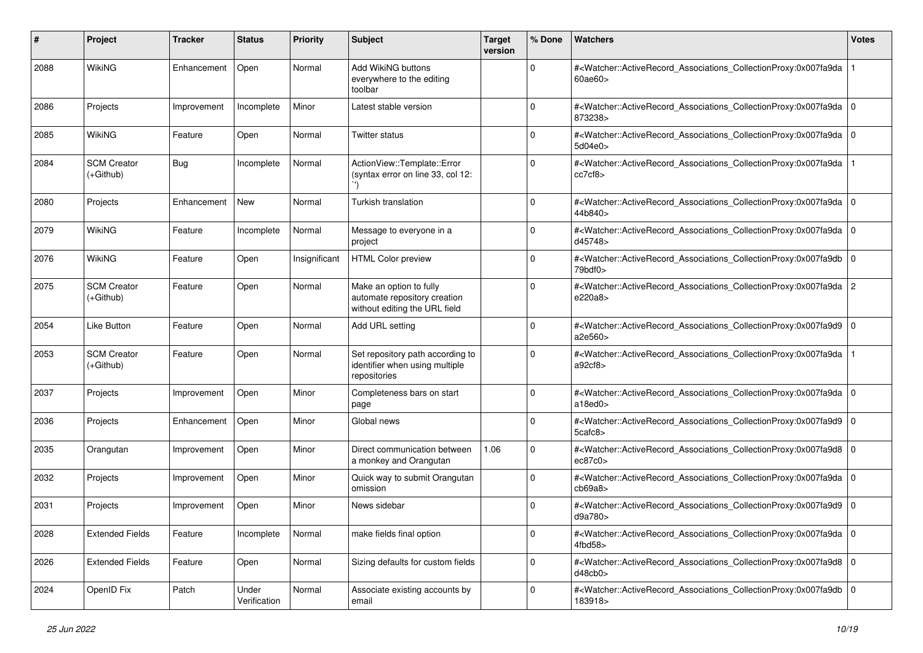| #    | Project                           | <b>Tracker</b> | <b>Status</b>         | <b>Priority</b> | <b>Subject</b>                                                                           | <b>Target</b><br>version | % Done      | Watchers                                                                                                                                                                    | <b>Votes</b>   |
|------|-----------------------------------|----------------|-----------------------|-----------------|------------------------------------------------------------------------------------------|--------------------------|-------------|-----------------------------------------------------------------------------------------------------------------------------------------------------------------------------|----------------|
| 2088 | WikiNG                            | Enhancement    | Open                  | Normal          | Add WikiNG buttons<br>everywhere to the editing<br>toolbar                               |                          | $\mathbf 0$ | # <watcher::activerecord_associations_collectionproxy:0x007fa9da<br>60ae60</watcher::activerecord_associations_collectionproxy:0x007fa9da<br>                               |                |
| 2086 | Projects                          | Improvement    | Incomplete            | Minor           | Latest stable version                                                                    |                          | $\mathbf 0$ | # <watcher::activerecord_associations_collectionproxy:0x007fa9da 0<br=""  ="">873238&gt;</watcher::activerecord_associations_collectionproxy:0x007fa9da>                    |                |
| 2085 | <b>WikiNG</b>                     | Feature        | Open                  | Normal          | Twitter status                                                                           |                          | $\Omega$    | # <watcher::activerecord_associations_collectionproxy:0x007fa9da 0<br=""  ="">5d04e0&gt;</watcher::activerecord_associations_collectionproxy:0x007fa9da>                    |                |
| 2084 | <b>SCM Creator</b><br>$(+Github)$ | <b>Bug</b>     | Incomplete            | Normal          | ActionView::Template::Error<br>(syntax error on line 33, col 12:                         |                          | 0           | # <watcher::activerecord_associations_collectionproxy:0x007fa9da<br>cc7cf8&gt;</watcher::activerecord_associations_collectionproxy:0x007fa9da<br>                           |                |
| 2080 | Projects                          | Enhancement    | New                   | Normal          | Turkish translation                                                                      |                          | $\Omega$    | # <watcher::activerecord_associations_collectionproxy:0x007fa9da 0<br=""  ="">44b840&gt;</watcher::activerecord_associations_collectionproxy:0x007fa9da>                    |                |
| 2079 | <b>WikiNG</b>                     | Feature        | Incomplete            | Normal          | Message to everyone in a<br>project                                                      |                          | 0           | # <watcher::activerecord_associations_collectionproxy:0x007fa9da<br>d45748&gt;</watcher::activerecord_associations_collectionproxy:0x007fa9da<br>                           | l O            |
| 2076 | WikiNG                            | Feature        | Open                  | Insignificant   | <b>HTML Color preview</b>                                                                |                          | 0           | # <watcher::activerecord_associations_collectionproxy:0x007fa9db<br><math>79</math>bdf0<math>&gt;</math></watcher::activerecord_associations_collectionproxy:0x007fa9db<br> | $\overline{0}$ |
| 2075 | <b>SCM Creator</b><br>(+Github)   | Feature        | Open                  | Normal          | Make an option to fully<br>automate repository creation<br>without editing the URL field |                          | $\Omega$    | # <watcher::activerecord_associations_collectionproxy:0x007fa9da  <br="">e220a8&gt;</watcher::activerecord_associations_collectionproxy:0x007fa9da>                         | 2              |
| 2054 | Like Button                       | Feature        | Open                  | Normal          | Add URL setting                                                                          |                          | $\Omega$    | # <watcher::activerecord_associations_collectionproxy:0x007fa9d9 0<br=""  ="">a2e560&gt;</watcher::activerecord_associations_collectionproxy:0x007fa9d9>                    |                |
| 2053 | <b>SCM Creator</b><br>(+Github)   | Feature        | Open                  | Normal          | Set repository path according to<br>identifier when using multiple<br>repositories       |                          | 0           | # <watcher::activerecord_associations_collectionproxy:0x007fa9da<br>a92cf8</watcher::activerecord_associations_collectionproxy:0x007fa9da<br>                               |                |
| 2037 | Projects                          | Improvement    | Open                  | Minor           | Completeness bars on start<br>page                                                       |                          | $\Omega$    | # <watcher::activerecord_associations_collectionproxy:0x007fa9da 0<br=""  ="">a18ed0</watcher::activerecord_associations_collectionproxy:0x007fa9da>                        |                |
| 2036 | Projects                          | Enhancement    | Open                  | Minor           | Global news                                                                              |                          | $\mathbf 0$ | # <watcher::activerecord_associations_collectionproxy:0x007fa9d9<br>5cafc8&gt;</watcher::activerecord_associations_collectionproxy:0x007fa9d9<br>                           | l O            |
| 2035 | Orangutan                         | Improvement    | Open                  | Minor           | Direct communication between<br>a monkey and Orangutan                                   | 1.06                     | $\mathbf 0$ | # <watcher::activerecord_associations_collectionproxy:0x007fa9d8 0<br=""  ="">ec87c0</watcher::activerecord_associations_collectionproxy:0x007fa9d8>                        |                |
| 2032 | Projects                          | Improvement    | Open                  | Minor           | Quick way to submit Orangutan<br>omission                                                |                          | $\Omega$    | # <watcher::activerecord_associations_collectionproxy:0x007fa9da 0<br="">cb69a8</watcher::activerecord_associations_collectionproxy:0x007fa9da>                             |                |
| 2031 | Projects                          | Improvement    | Open                  | Minor           | News sidebar                                                                             |                          | $\Omega$    | # <watcher::activerecord_associations_collectionproxy:0x007fa9d9 0<br="">d9a780&gt;</watcher::activerecord_associations_collectionproxy:0x007fa9d9>                         |                |
| 2028 | <b>Extended Fields</b>            | Feature        | Incomplete            | Normal          | make fields final option                                                                 |                          | 0           | # <watcher::activerecord_associations_collectionproxy:0x007fa9da 0<br=""  ="">4fbd58&gt;</watcher::activerecord_associations_collectionproxy:0x007fa9da>                    |                |
| 2026 | <b>Extended Fields</b>            | Feature        | Open                  | Normal          | Sizing defaults for custom fields                                                        |                          | $\mathbf 0$ | # <watcher::activerecord 0<br="" associations="" collectionproxy:0x007fa9d8="">d48cb0&gt;</watcher::activerecord>                                                           |                |
| 2024 | OpenID Fix                        | Patch          | Under<br>Verification | Normal          | Associate existing accounts by<br>email                                                  |                          | $\mathbf 0$ | # <watcher::activerecord_associations_collectionproxy:0x007fa9db 0<br="">183918&gt;</watcher::activerecord_associations_collectionproxy:0x007fa9db>                         |                |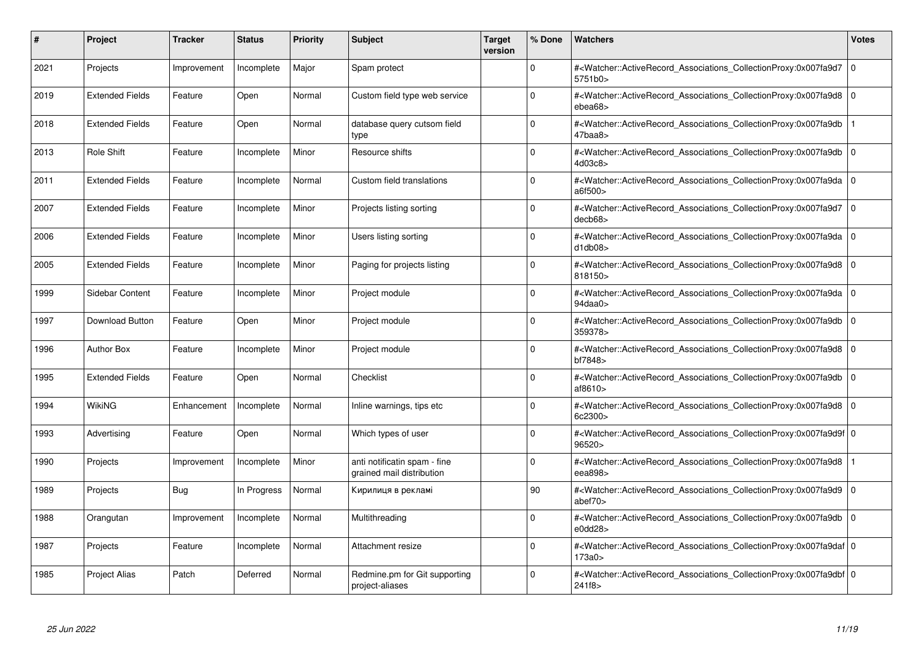| #    | Project                | <b>Tracker</b> | <b>Status</b> | <b>Priority</b> | <b>Subject</b>                                            | <b>Target</b><br>version | % Done      | <b>Watchers</b>                                                                                                                                           | <b>Votes</b> |
|------|------------------------|----------------|---------------|-----------------|-----------------------------------------------------------|--------------------------|-------------|-----------------------------------------------------------------------------------------------------------------------------------------------------------|--------------|
| 2021 | Projects               | Improvement    | Incomplete    | Major           | Spam protect                                              |                          | $\Omega$    | # <watcher::activerecord associations="" collectionproxy:0x007fa9d7<br="">5751b0&gt;</watcher::activerecord>                                              | $\mathbf 0$  |
| 2019 | <b>Extended Fields</b> | Feature        | Open          | Normal          | Custom field type web service                             |                          | $\Omega$    | # <watcher::activerecord_associations_collectionproxy:0x007fa9d8 0<br=""  ="">ebea68&gt;</watcher::activerecord_associations_collectionproxy:0x007fa9d8>  |              |
| 2018 | <b>Extended Fields</b> | Feature        | Open          | Normal          | database query cutsom field<br>type                       |                          | $\Omega$    | # <watcher::activerecord associations="" collectionproxy:0x007fa9db<br="">47baa8</watcher::activerecord>                                                  |              |
| 2013 | Role Shift             | Feature        | Incomplete    | Minor           | Resource shifts                                           |                          | $\Omega$    | # <watcher::activerecord 0<br="" associations="" collectionproxy:0x007fa9db=""  ="">4d03c8</watcher::activerecord>                                        |              |
| 2011 | <b>Extended Fields</b> | Feature        | Incomplete    | Normal          | Custom field translations                                 |                          | $\Omega$    | # <watcher::activerecord_associations_collectionproxy:0x007fa9da 0<br=""  ="">a6f500&gt;</watcher::activerecord_associations_collectionproxy:0x007fa9da>  |              |
| 2007 | <b>Extended Fields</b> | Feature        | Incomplete    | Minor           | Projects listing sorting                                  |                          | $\Omega$    | # <watcher::activerecord associations="" collectionproxy:0x007fa9d7=""  <br="">decb68</watcher::activerecord>                                             | $\mathbf 0$  |
| 2006 | <b>Extended Fields</b> | Feature        | Incomplete    | Minor           | Users listing sorting                                     |                          | $\Omega$    | # <watcher::activerecord_associations_collectionproxy:0x007fa9da 0<br=""  ="">d1db08</watcher::activerecord_associations_collectionproxy:0x007fa9da>      |              |
| 2005 | <b>Extended Fields</b> | Feature        | Incomplete    | Minor           | Paging for projects listing                               |                          | $\Omega$    | # <watcher::activerecord associations="" collectionproxy:0x007fa9d8=""  <br="">818150&gt;</watcher::activerecord>                                         | $\mathbf 0$  |
| 1999 | Sidebar Content        | Feature        | Incomplete    | Minor           | Project module                                            |                          | $\Omega$    | # <watcher::activerecord_associations_collectionproxy:0x007fa9da 0<br=""  ="">94daa0</watcher::activerecord_associations_collectionproxy:0x007fa9da>      |              |
| 1997 | <b>Download Button</b> | Feature        | Open          | Minor           | Project module                                            |                          | $\Omega$    | # <watcher::activerecord associations="" collectionproxy:0x007fa9db<br="">359378&gt;</watcher::activerecord>                                              | $\Omega$     |
| 1996 | <b>Author Box</b>      | Feature        | Incomplete    | Minor           | Project module                                            |                          | $\Omega$    | # <watcher::activerecord 0<br="" associations="" collectionproxy:0x007fa9d8=""  ="">bf7848&gt;</watcher::activerecord>                                    |              |
| 1995 | <b>Extended Fields</b> | Feature        | Open          | Normal          | Checklist                                                 |                          | $\Omega$    | # <watcher::activerecord associations="" collectionproxy:0x007fa9db=""  <br="">af<math>8610</math></watcher::activerecord>                                | $\Omega$     |
| 1994 | WikiNG                 | Enhancement    | Incomplete    | Normal          | Inline warnings, tips etc                                 |                          | $\Omega$    | # <watcher::activerecord 0<br="" associations="" collectionproxy:0x007fa9d8=""  ="">6c2300&gt;</watcher::activerecord>                                    |              |
| 1993 | Advertising            | Feature        | Open          | Normal          | Which types of user                                       |                          | $\mathbf 0$ | # <watcher::activerecord_associations_collectionproxy:0x007fa9d9f 0<br=""  ="">96520&gt;</watcher::activerecord_associations_collectionproxy:0x007fa9d9f> |              |
| 1990 | Projects               | Improvement    | Incomplete    | Minor           | anti notificatin spam - fine<br>grained mail distribution |                          | $\Omega$    | # <watcher::activerecord_associations_collectionproxy:0x007fa9d8<br>eea898&gt;</watcher::activerecord_associations_collectionproxy:0x007fa9d8<br>         |              |
| 1989 | Projects               | Bug            | In Progress   | Normal          | Кирилиця в рекламі                                        |                          | 90          | # <watcher::activerecord associations="" collectionproxy:0x007fa9d9=""  <br="">abef70&gt;</watcher::activerecord>                                         | $\mathbf 0$  |
| 1988 | Orangutan              | Improvement    | Incomplete    | Normal          | Multithreading                                            |                          | $\Omega$    | # <watcher::activerecord_associations_collectionproxy:0x007fa9db  <br="">e0dd28</watcher::activerecord_associations_collectionproxy:0x007fa9db>           | $\Omega$     |
| 1987 | Projects               | Feature        | Incomplete    | Normal          | Attachment resize                                         |                          | $\Omega$    | # <watcher::activerecord 0<br="" associations="" collectionproxy:0x007fa9daf=""  ="">173a0&gt;</watcher::activerecord>                                    |              |
| 1985 | <b>Project Alias</b>   | Patch          | Deferred      | Normal          | Redmine.pm for Git supporting<br>project-aliases          |                          | $\Omega$    | # <watcher::activerecord 0<br="" associations="" collectionproxy:0x007fa9dbf=""  ="">241f8&gt;</watcher::activerecord>                                    |              |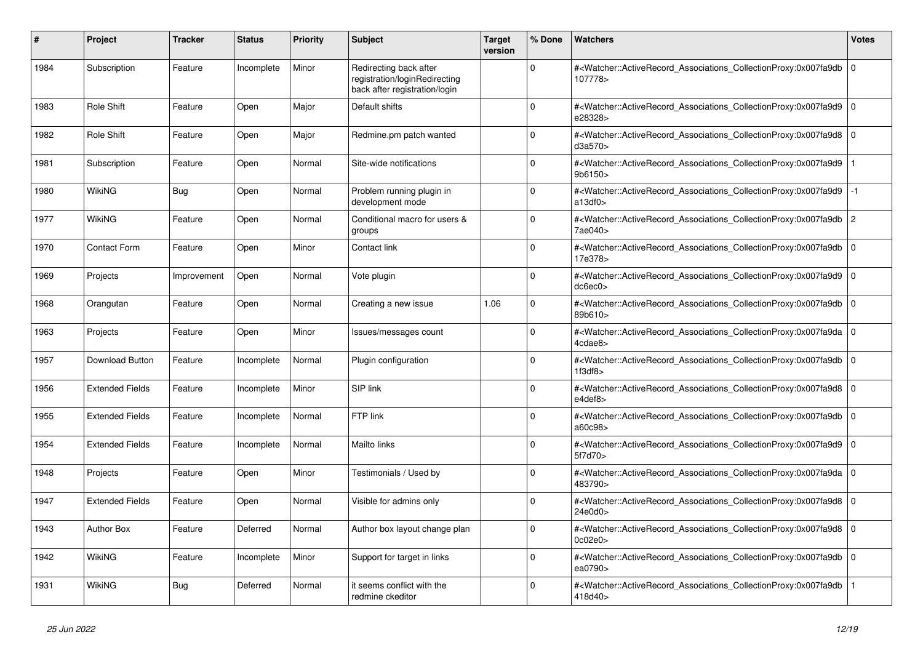| #    | Project                | <b>Tracker</b> | <b>Status</b> | <b>Priority</b> | <b>Subject</b>                                                                           | <b>Target</b><br>version | % Done      | Watchers                                                                                                                                          | Votes          |
|------|------------------------|----------------|---------------|-----------------|------------------------------------------------------------------------------------------|--------------------------|-------------|---------------------------------------------------------------------------------------------------------------------------------------------------|----------------|
| 1984 | Subscription           | Feature        | Incomplete    | Minor           | Redirecting back after<br>registration/loginRedirecting<br>back after registration/login |                          | $\Omega$    | # <watcher::activerecord_associations_collectionproxy:0x007fa9db<br>107778&gt;</watcher::activerecord_associations_collectionproxy:0x007fa9db<br> | 0              |
| 1983 | <b>Role Shift</b>      | Feature        | Open          | Major           | Default shifts                                                                           |                          | 0           | # <watcher::activerecord_associations_collectionproxy:0x007fa9d9<br>e28328&gt;</watcher::activerecord_associations_collectionproxy:0x007fa9d9<br> | l O            |
| 1982 | <b>Role Shift</b>      | Feature        | Open          | Major           | Redmine.pm patch wanted                                                                  |                          | $\Omega$    | # <watcher::activerecord_associations_collectionproxy:0x007fa9d8<br>d3a570&gt;</watcher::activerecord_associations_collectionproxy:0x007fa9d8<br> | ۱o             |
| 1981 | Subscription           | Feature        | Open          | Normal          | Site-wide notifications                                                                  |                          | $\Omega$    | # <watcher::activerecord_associations_collectionproxy:0x007fa9d9<br>9b6150&gt;</watcher::activerecord_associations_collectionproxy:0x007fa9d9<br> |                |
| 1980 | WikiNG                 | Bug            | Open          | Normal          | Problem running plugin in<br>development mode                                            |                          | 0           | # <watcher::activerecord associations="" collectionproxy:0x007fa9d9<br="">a13df0</watcher::activerecord>                                          | -1             |
| 1977 | <b>WikiNG</b>          | Feature        | Open          | Normal          | Conditional macro for users &<br>groups                                                  |                          | $\Omega$    | # <watcher::activerecord_associations_collectionproxy:0x007fa9db<br>7ae040&gt;</watcher::activerecord_associations_collectionproxy:0x007fa9db<br> | $\overline{2}$ |
| 1970 | <b>Contact Form</b>    | Feature        | Open          | Minor           | Contact link                                                                             |                          | $\Omega$    | # <watcher::activerecord_associations_collectionproxy:0x007fa9db<br>17e378&gt;</watcher::activerecord_associations_collectionproxy:0x007fa9db<br> | $\overline{0}$ |
| 1969 | Projects               | Improvement    | Open          | Normal          | Vote plugin                                                                              |                          | $\Omega$    | # <watcher::activerecord associations="" collectionproxy:0x007fa9d9<br="">dc6ec0&gt;</watcher::activerecord>                                      | l O            |
| 1968 | Orangutan              | Feature        | Open          | Normal          | Creating a new issue                                                                     | 1.06                     | $\Omega$    | # <watcher::activerecord_associations_collectionproxy:0x007fa9db<br>89b610&gt;</watcher::activerecord_associations_collectionproxy:0x007fa9db<br> | 0              |
| 1963 | Projects               | Feature        | Open          | Minor           | Issues/messages count                                                                    |                          | $\Omega$    | # <watcher::activerecord_associations_collectionproxy:0x007fa9da<br>4cdae8&gt;</watcher::activerecord_associations_collectionproxy:0x007fa9da<br> | $\overline{0}$ |
| 1957 | <b>Download Button</b> | Feature        | Incomplete    | Normal          | Plugin configuration                                                                     |                          | $\Omega$    | # <watcher::activerecord associations="" collectionproxy:0x007fa9db<br="">1f3df8</watcher::activerecord>                                          | $\overline{0}$ |
| 1956 | <b>Extended Fields</b> | Feature        | Incomplete    | Minor           | SIP link                                                                                 |                          | $\Omega$    | # <watcher::activerecord_associations_collectionproxy:0x007fa9d8<br>e4def8&gt;</watcher::activerecord_associations_collectionproxy:0x007fa9d8<br> | 0              |
| 1955 | <b>Extended Fields</b> | Feature        | Incomplete    | Normal          | FTP link                                                                                 |                          | $\Omega$    | # <watcher::activerecord_associations_collectionproxy:0x007fa9db<br>a60c98&gt;</watcher::activerecord_associations_collectionproxy:0x007fa9db<br> | $\overline{0}$ |
| 1954 | <b>Extended Fields</b> | Feature        | Incomplete    | Normal          | Mailto links                                                                             |                          | $\Omega$    | # <watcher::activerecord 0<br="" associations="" collectionproxy:0x007fa9d9=""  ="">5f7d70&gt;</watcher::activerecord>                            |                |
| 1948 | Projects               | Feature        | Open          | Minor           | Testimonials / Used by                                                                   |                          | $\mathbf 0$ | # <watcher::activerecord associations="" collectionproxy:0x007fa9da<br="">483790&gt;</watcher::activerecord>                                      | l O            |
| 1947 | <b>Extended Fields</b> | Feature        | Open          | Normal          | Visible for admins only                                                                  |                          | $\Omega$    | # <watcher::activerecord_associations_collectionproxy:0x007fa9d8<br>24e0d0&gt;</watcher::activerecord_associations_collectionproxy:0x007fa9d8<br> | $\overline{0}$ |
| 1943 | <b>Author Box</b>      | Feature        | Deferred      | Normal          | Author box layout change plan                                                            |                          | $\Omega$    | # <watcher::activerecord associations="" collectionproxy:0x007fa9d8<br="">0c02e0</watcher::activerecord>                                          | ۱o             |
| 1942 | <b>WikiNG</b>          | Feature        | Incomplete    | Minor           | Support for target in links                                                              |                          | $\mathbf 0$ | # <watcher::activerecord_associations_collectionproxy:0x007fa9db<br>ea0790&gt;</watcher::activerecord_associations_collectionproxy:0x007fa9db<br> | 0              |
| 1931 | WikiNG                 | <b>Bug</b>     | Deferred      | Normal          | it seems conflict with the<br>redmine ckeditor                                           |                          | $\Omega$    | # <watcher::activerecord_associations_collectionproxy:0x007fa9db<br>418d40&gt;</watcher::activerecord_associations_collectionproxy:0x007fa9db<br> |                |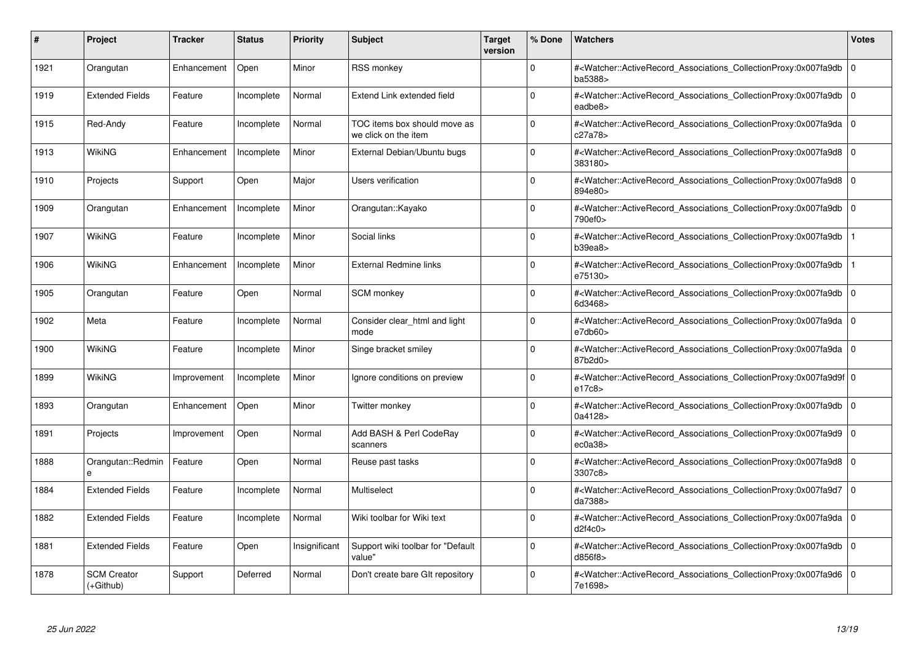| #    | Project                           | <b>Tracker</b> | <b>Status</b> | <b>Priority</b> | <b>Subject</b>                                       | <b>Target</b><br>version | % Done   | <b>Watchers</b>                                                                                                                                          | <b>Votes</b> |
|------|-----------------------------------|----------------|---------------|-----------------|------------------------------------------------------|--------------------------|----------|----------------------------------------------------------------------------------------------------------------------------------------------------------|--------------|
| 1921 | Orangutan                         | Enhancement    | Open          | Minor           | <b>RSS monkey</b>                                    |                          | $\Omega$ | # <watcher::activerecord associations="" collectionproxy:0x007fa9db<br="">ba5388&gt;</watcher::activerecord>                                             | $\mathbf 0$  |
| 1919 | <b>Extended Fields</b>            | Feature        | Incomplete    | Normal          | Extend Link extended field                           |                          | $\Omega$ | # <watcher::activerecord_associations_collectionproxy:0x007fa9db  <br="">eadbe8&gt;</watcher::activerecord_associations_collectionproxy:0x007fa9db>      | $\mathbf 0$  |
| 1915 | Red-Andy                          | Feature        | Incomplete    | Normal          | TOC items box should move as<br>we click on the item |                          | $\Omega$ | # <watcher::activerecord associations="" collectionproxy:0x007fa9da=""  <br="">c27a78&gt;</watcher::activerecord>                                        | $\mathbf 0$  |
| 1913 | WikiNG                            | Enhancement    | Incomplete    | Minor           | External Debian/Ubuntu bugs                          |                          | $\Omega$ | # <watcher::activerecord 0<br="" associations="" collectionproxy:0x007fa9d8=""  ="">383180&gt;</watcher::activerecord>                                   |              |
| 1910 | Projects                          | Support        | Open          | Major           | Users verification                                   |                          | $\Omega$ | # <watcher::activerecord_associations_collectionproxy:0x007fa9d8  <br="">894e80&gt;</watcher::activerecord_associations_collectionproxy:0x007fa9d8>      | $\Omega$     |
| 1909 | Orangutan                         | Enhancement    | Incomplete    | Minor           | Orangutan::Kayako                                    |                          | $\Omega$ | # <watcher::activerecord associations="" collectionproxy:0x007fa9db<br="">790ef0&gt;</watcher::activerecord>                                             | $\Omega$     |
| 1907 | <b>WikiNG</b>                     | Feature        | Incomplete    | Minor           | Social links                                         |                          | $\Omega$ | # <watcher::activerecord_associations_collectionproxy:0x007fa9db<br>b39ea8</watcher::activerecord_associations_collectionproxy:0x007fa9db<br>            |              |
| 1906 | WikiNG                            | Enhancement    | Incomplete    | Minor           | <b>External Redmine links</b>                        |                          | $\Omega$ | # <watcher::activerecord associations="" collectionproxy:0x007fa9db<br="">e75130&gt;</watcher::activerecord>                                             |              |
| 1905 | Orangutan                         | Feature        | Open          | Normal          | SCM monkey                                           |                          | $\Omega$ | # <watcher::activerecord_associations_collectionproxy:0x007fa9db<br>6d3468&gt;</watcher::activerecord_associations_collectionproxy:0x007fa9db<br>        | $\mathbf 0$  |
| 1902 | Meta                              | Feature        | Incomplete    | Normal          | Consider clear html and light<br>mode                |                          | $\Omega$ | # <watcher::activerecord_associations_collectionproxy:0x007fa9da 0<br=""  ="">e7db60</watcher::activerecord_associations_collectionproxy:0x007fa9da>     |              |
| 1900 | WikiNG                            | Feature        | Incomplete    | Minor           | Singe bracket smiley                                 |                          | $\Omega$ | # <watcher::activerecord 0<br="" associations="" collectionproxy:0x007fa9da=""  ="">87b2d0&gt;</watcher::activerecord>                                   |              |
| 1899 | <b>WikiNG</b>                     | Improvement    | Incomplete    | Minor           | Ignore conditions on preview                         |                          | $\Omega$ | # <watcher::activerecord 0<br="" associations="" collectionproxy:0x007fa9d9f=""  ="">e17c8&gt;</watcher::activerecord>                                   |              |
| 1893 | Orangutan                         | Enhancement    | Open          | Minor           | Twitter monkey                                       |                          | $\Omega$ | # <watcher::activerecord associations="" collectionproxy:0x007fa9db<br="">0a4128&gt;</watcher::activerecord>                                             | $\mathbf 0$  |
| 1891 | Projects                          | Improvement    | Open          | Normal          | Add BASH & Perl CodeRay<br>scanners                  |                          | $\Omega$ | # <watcher::activerecord_associations_collectionproxy:0x007fa9d9<br>ec0a38</watcher::activerecord_associations_collectionproxy:0x007fa9d9<br>            | $\mathbf 0$  |
| 1888 | Orangutan::Redmin                 | Feature        | Open          | Normal          | Reuse past tasks                                     |                          | $\Omega$ | # <watcher::activerecord_associations_collectionproxy:0x007fa9d8 0<br=""  ="">3307c8&gt;</watcher::activerecord_associations_collectionproxy:0x007fa9d8> |              |
| 1884 | <b>Extended Fields</b>            | Feature        | Incomplete    | Normal          | Multiselect                                          |                          | $\Omega$ | # <watcher::activerecord 0<br="" associations="" collectionproxy:0x007fa9d7=""  ="">da7388&gt;</watcher::activerecord>                                   |              |
| 1882 | <b>Extended Fields</b>            | Feature        | Incomplete    | Normal          | Wiki toolbar for Wiki text                           |                          | $\Omega$ | # <watcher::activerecord 0<br="" associations="" collectionproxy:0x007fa9da=""  ="">d2f4c0</watcher::activerecord>                                       |              |
| 1881 | <b>Extended Fields</b>            | Feature        | Open          | Insignificant   | Support wiki toolbar for "Default<br>value"          |                          | $\Omega$ | # <watcher::activerecord associations="" collectionproxy:0x007fa9db<br="">d856f8&gt;</watcher::activerecord>                                             | $\mathbf 0$  |
| 1878 | <b>SCM Creator</b><br>$(+Github)$ | Support        | Deferred      | Normal          | Don't create bare GIt repository                     |                          | $\Omega$ | # <watcher::activerecord_associations_collectionproxy:0x007fa9d6 0<br=""  ="">7e1698&gt;</watcher::activerecord_associations_collectionproxy:0x007fa9d6> |              |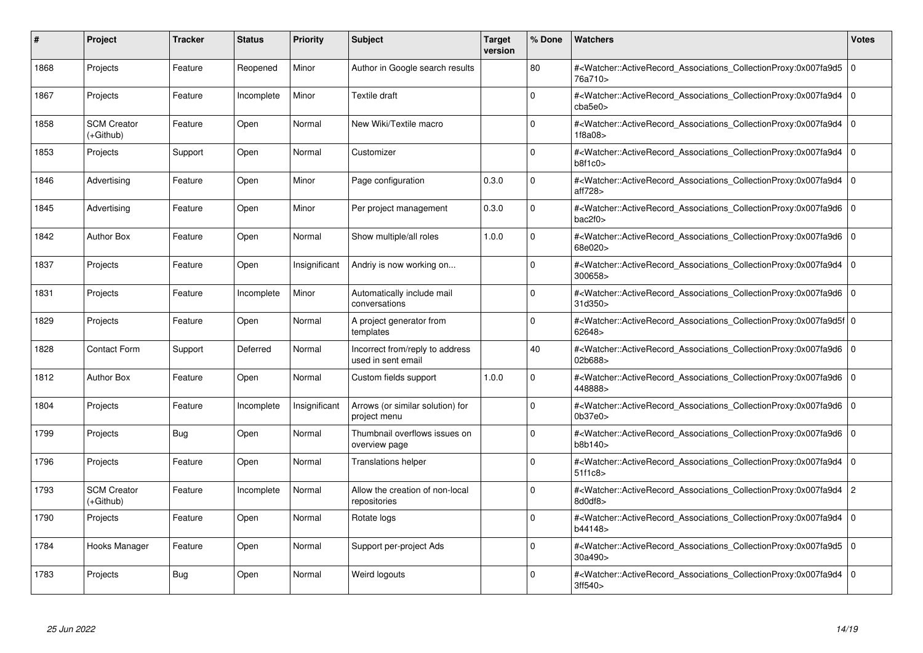| #    | Project                         | <b>Tracker</b> | <b>Status</b> | <b>Priority</b> | <b>Subject</b>                                        | <b>Target</b><br>version | % Done   | <b>Watchers</b>                                                                                                                                          | <b>Votes</b>   |
|------|---------------------------------|----------------|---------------|-----------------|-------------------------------------------------------|--------------------------|----------|----------------------------------------------------------------------------------------------------------------------------------------------------------|----------------|
| 1868 | Projects                        | Feature        | Reopened      | Minor           | Author in Google search results                       |                          | 80       | # <watcher::activerecord associations="" collectionproxy:0x007fa9d5<br="">76a710&gt;</watcher::activerecord>                                             | $\mathbf 0$    |
| 1867 | Projects                        | Feature        | Incomplete    | Minor           | Textile draft                                         |                          | $\Omega$ | # <watcher::activerecord associations="" collectionproxy:0x007fa9d4=""  <br="">cba5e0</watcher::activerecord>                                            | $\mathbf 0$    |
| 1858 | <b>SCM Creator</b><br>(+Github) | Feature        | Open          | Normal          | New Wiki/Textile macro                                |                          | $\Omega$ | # <watcher::activerecord_associations_collectionproxy:0x007fa9d4<br>1f8a08&gt;</watcher::activerecord_associations_collectionproxy:0x007fa9d4<br>        | $\Omega$       |
| 1853 | Projects                        | Support        | Open          | Normal          | Customizer                                            |                          | $\Omega$ | # <watcher::activerecord_associations_collectionproxy:0x007fa9d4 0<br="">b8f1c0</watcher::activerecord_associations_collectionproxy:0x007fa9d4>          |                |
| 1846 | Advertising                     | Feature        | Open          | Minor           | Page configuration                                    | 0.3.0                    | $\Omega$ | # <watcher::activerecord_associations_collectionproxy:0x007fa9d4<br>aff728&gt;</watcher::activerecord_associations_collectionproxy:0x007fa9d4<br>        | $\mathbf 0$    |
| 1845 | Advertising                     | Feature        | Open          | Minor           | Per project management                                | 0.3.0                    | $\Omega$ | # <watcher::activerecord_associations_collectionproxy:0x007fa9d6 0<br=""  ="">bac2f0</watcher::activerecord_associations_collectionproxy:0x007fa9d6>     |                |
| 1842 | <b>Author Box</b>               | Feature        | Open          | Normal          | Show multiple/all roles                               | 1.0.0                    | $\Omega$ | # <watcher::activerecord associations="" collectionproxy:0x007fa9d6<br="">68e020&gt;</watcher::activerecord>                                             | $\mathbf 0$    |
| 1837 | Projects                        | Feature        | Open          | Insignificant   | Andriy is now working on                              |                          | $\Omega$ | # <watcher::activerecord_associations_collectionproxy:0x007fa9d4  <br="">300658&gt;</watcher::activerecord_associations_collectionproxy:0x007fa9d4>      | $\mathbf 0$    |
| 1831 | Projects                        | Feature        | Incomplete    | Minor           | Automatically include mail<br>conversations           |                          | $\Omega$ | # <watcher::activerecord associations="" collectionproxy:0x007fa9d6<br="">31d350&gt;</watcher::activerecord>                                             | $\mathbf 0$    |
| 1829 | Projects                        | Feature        | Open          | Normal          | A project generator from<br>templates                 |                          | $\Omega$ | # <watcher::activerecord 0<br="" associations="" collectionproxy:0x007fa9d5f=""  ="">62648&gt;</watcher::activerecord>                                   |                |
| 1828 | <b>Contact Form</b>             | Support        | Deferred      | Normal          | Incorrect from/reply to address<br>used in sent email |                          | 40       | # <watcher::activerecord_associations_collectionproxy:0x007fa9d6 0<br=""  ="">02b688&gt;</watcher::activerecord_associations_collectionproxy:0x007fa9d6> |                |
| 1812 | <b>Author Box</b>               | Feature        | Open          | Normal          | Custom fields support                                 | 1.0.0                    | $\Omega$ | # <watcher::activerecord_associations_collectionproxy:0x007fa9d6 0<br=""  ="">448888&gt;</watcher::activerecord_associations_collectionproxy:0x007fa9d6> |                |
| 1804 | Projects                        | Feature        | Incomplete    | Insignificant   | Arrows (or similar solution) for<br>project menu      |                          | $\Omega$ | # <watcher::activerecord 0<br="" associations="" collectionproxy:0x007fa9d6=""  ="">0b37e0</watcher::activerecord>                                       |                |
| 1799 | Projects                        | Bug            | Open          | Normal          | Thumbnail overflows issues on<br>overview page        |                          | $\Omega$ | # <watcher::activerecord_associations_collectionproxy:0x007fa9d6  <br="">b8b140&gt;</watcher::activerecord_associations_collectionproxy:0x007fa9d6>      | $\Omega$       |
| 1796 | Projects                        | Feature        | Open          | Normal          | <b>Translations helper</b>                            |                          | $\Omega$ | # <watcher::activerecord 0<br="" associations="" collectionproxy:0x007fa9d4=""  ="">51f1c8</watcher::activerecord>                                       |                |
| 1793 | <b>SCM Creator</b><br>(+Github) | Feature        | Incomplete    | Normal          | Allow the creation of non-local<br>repositories       |                          | $\Omega$ | # <watcher::activerecord_associations_collectionproxy:0x007fa9d4  <br="">8d0df8&gt;</watcher::activerecord_associations_collectionproxy:0x007fa9d4>      | $\overline{c}$ |
| 1790 | Projects                        | Feature        | Open          | Normal          | Rotate logs                                           |                          | $\Omega$ | # <watcher::activerecord_associations_collectionproxy:0x007fa9d4  <br="">b44148&gt;</watcher::activerecord_associations_collectionproxy:0x007fa9d4>      | $\Omega$       |
| 1784 | Hooks Manager                   | Feature        | Open          | Normal          | Support per-project Ads                               |                          | $\Omega$ | # <watcher::activerecord 0<br="" associations="" collectionproxy:0x007fa9d5=""  ="">30a490&gt;</watcher::activerecord>                                   |                |
| 1783 | Projects                        | Bug            | Open          | Normal          | Weird logouts                                         |                          | $\Omega$ | # <watcher::activerecord_associations_collectionproxy:0x007fa9d4 0<br=""  ="">3ff540&gt;</watcher::activerecord_associations_collectionproxy:0x007fa9d4> |                |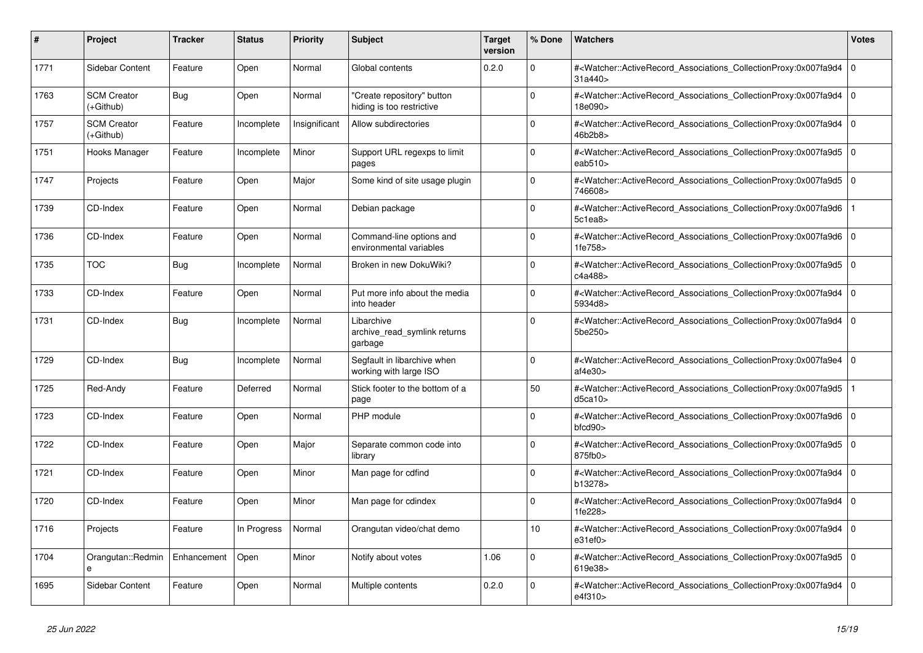| #    | <b>Project</b>                    | <b>Tracker</b> | <b>Status</b> | <b>Priority</b> | <b>Subject</b>                                          | <b>Target</b><br>version | % Done         | <b>Watchers</b>                                                                                                                                                         | <b>Votes</b>   |
|------|-----------------------------------|----------------|---------------|-----------------|---------------------------------------------------------|--------------------------|----------------|-------------------------------------------------------------------------------------------------------------------------------------------------------------------------|----------------|
| 1771 | Sidebar Content                   | Feature        | Open          | Normal          | Global contents                                         | 0.2.0                    | $\Omega$       | # <watcher::activerecord_associations_collectionproxy:0x007fa9d4<br>31a440&gt;</watcher::activerecord_associations_collectionproxy:0x007fa9d4<br>                       | l 0            |
| 1763 | <b>SCM Creator</b><br>(+Github)   | Bug            | Open          | Normal          | "Create repository" button<br>hiding is too restrictive |                          | $\overline{0}$ | # <watcher::activerecord_associations_collectionproxy:0x007fa9d4 0<br="">18e090&gt;</watcher::activerecord_associations_collectionproxy:0x007fa9d4>                     |                |
| 1757 | <b>SCM Creator</b><br>(+Github)   | Feature        | Incomplete    | Insignificant   | Allow subdirectories                                    |                          | $\mathbf 0$    | # <watcher::activerecord_associations_collectionproxy:0x007fa9d4 0<br=""  ="">46b2b8&gt;</watcher::activerecord_associations_collectionproxy:0x007fa9d4>                |                |
| 1751 | Hooks Manager                     | Feature        | Incomplete    | Minor           | Support URL regexps to limit<br>pages                   |                          | $\Omega$       | # <watcher::activerecord_associations_collectionproxy:0x007fa9d5<br>eab<math>510</math></watcher::activerecord_associations_collectionproxy:0x007fa9d5<br>              | 0              |
| 1747 | Projects                          | Feature        | Open          | Major           | Some kind of site usage plugin                          |                          | $\mathbf 0$    | # <watcher::activerecord_associations_collectionproxy:0x007fa9d5 0<br=""  ="">746608&gt;</watcher::activerecord_associations_collectionproxy:0x007fa9d5>                |                |
| 1739 | CD-Index                          | Feature        | Open          | Normal          | Debian package                                          |                          | $\Omega$       | # <watcher::activerecord associations="" collectionproxy:0x007fa9d6<br="">5c1ea8</watcher::activerecord>                                                                |                |
| 1736 | CD-Index                          | Feature        | Open          | Normal          | Command-line options and<br>environmental variables     |                          | $\Omega$       | # <watcher::activerecord associations="" collectionproxy:0x007fa9d6<br="">1fe758&gt;</watcher::activerecord>                                                            | $\Omega$       |
| 1735 | <b>TOC</b>                        | Bug            | Incomplete    | Normal          | Broken in new DokuWiki?                                 |                          | $\mathbf 0$    | # <watcher::activerecord_associations_collectionproxy:0x007fa9d5 0<br=""  ="">c4a488&gt;</watcher::activerecord_associations_collectionproxy:0x007fa9d5>                |                |
| 1733 | CD-Index                          | Feature        | Open          | Normal          | Put more info about the media<br>into header            |                          | $\Omega$       | # <watcher::activerecord associations="" collectionproxy:0x007fa9d4<br="">5934d8&gt;</watcher::activerecord>                                                            | $\overline{0}$ |
| 1731 | CD-Index                          | Bug            | Incomplete    | Normal          | Libarchive<br>archive_read_symlink returns<br>garbage   |                          | $\Omega$       | # <watcher::activerecord_associations_collectionproxy:0x007fa9d4<br>5be250&gt;</watcher::activerecord_associations_collectionproxy:0x007fa9d4<br>                       | l 0            |
| 1729 | CD-Index                          | Bug            | Incomplete    | Normal          | Segfault in libarchive when<br>working with large ISO   |                          | $\Omega$       | # <watcher::activerecord 0<br="" associations="" collectionproxy:0x007fa9e4=""  ="">af4e30<sub>&gt;</sub></watcher::activerecord>                                       |                |
| 1725 | Red-Andy                          | Feature        | Deferred      | Normal          | Stick footer to the bottom of a<br>page                 |                          | 50             | # <watcher::activerecord associations="" collectionproxy:0x007fa9d5<br="">d5ca10&gt;</watcher::activerecord>                                                            |                |
| 1723 | CD-Index                          | Feature        | Open          | Normal          | PHP module                                              |                          | $\Omega$       | # <watcher::activerecord_associations_collectionproxy:0x007fa9d6<br><math>b</math>fcd<math>90</math></watcher::activerecord_associations_collectionproxy:0x007fa9d6<br> | l 0            |
| 1722 | CD-Index                          | Feature        | Open          | Major           | Separate common code into<br>library                    |                          | $\Omega$       | # <watcher::activerecord_associations_collectionproxy:0x007fa9d5 0<br=""  ="">875fb0</watcher::activerecord_associations_collectionproxy:0x007fa9d5>                    |                |
| 1721 | CD-Index                          | Feature        | Open          | Minor           | Man page for cdfind                                     |                          | $\Omega$       | # <watcher::activerecord associations="" collectionproxy:0x007fa9d4<br="">b13278&gt;</watcher::activerecord>                                                            | l 0            |
| 1720 | CD-Index                          | Feature        | Open          | Minor           | Man page for cdindex                                    |                          | $\mathbf 0$    | # <watcher::activerecord_associations_collectionproxy:0x007fa9d4<br>1fe228&gt;</watcher::activerecord_associations_collectionproxy:0x007fa9d4<br>                       | 0              |
| 1716 | Projects                          | Feature        | In Progress   | Normal          | Orangutan video/chat demo                               |                          | 10             | # <watcher::activerecord_associations_collectionproxy:0x007fa9d4 0<br=""  ="">e31ef0</watcher::activerecord_associations_collectionproxy:0x007fa9d4>                    |                |
| 1704 | Orangutan::Redmin<br>$\mathbf{a}$ | Enhancement    | Open          | Minor           | Notify about votes                                      | 1.06                     | $\Omega$       | # <watcher::activerecord associations="" collectionproxy:0x007fa9d5<br="">619e38&gt;</watcher::activerecord>                                                            | l O            |
| 1695 | Sidebar Content                   | Feature        | Open          | Normal          | Multiple contents                                       | 0.2.0                    | $\Omega$       | # <watcher::activerecord_associations_collectionproxy:0x007fa9d4<br>e4f310&gt;</watcher::activerecord_associations_collectionproxy:0x007fa9d4<br>                       | l o            |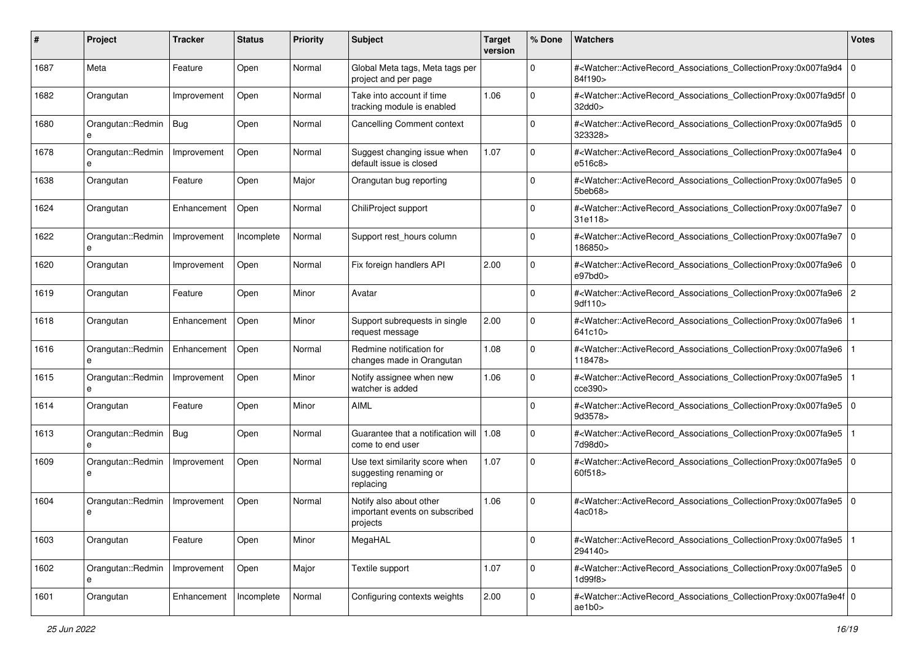| #    | Project                | <b>Tracker</b> | <b>Status</b> | <b>Priority</b> | <b>Subject</b>                                                        | <b>Target</b><br>version | % Done      | Watchers                                                                                                                                                  | <b>Votes</b> |
|------|------------------------|----------------|---------------|-----------------|-----------------------------------------------------------------------|--------------------------|-------------|-----------------------------------------------------------------------------------------------------------------------------------------------------------|--------------|
| 1687 | Meta                   | Feature        | Open          | Normal          | Global Meta tags, Meta tags per<br>project and per page               |                          | $\mathbf 0$ | # <watcher::activerecord_associations_collectionproxy:0x007fa9d4<br>84f190&gt;</watcher::activerecord_associations_collectionproxy:0x007fa9d4<br>         | l 0          |
| 1682 | Orangutan              | Improvement    | Open          | Normal          | Take into account if time<br>tracking module is enabled               | 1.06                     | $\Omega$    | # <watcher::activerecord_associations_collectionproxy:0x007fa9d5f 0<br=""  ="">32dd0&gt;</watcher::activerecord_associations_collectionproxy:0x007fa9d5f> |              |
| 1680 | Orangutan::Redmin<br>e | Bug            | Open          | Normal          | <b>Cancelling Comment context</b>                                     |                          | 0           | # <watcher::activerecord_associations_collectionproxy:0x007fa9d5 0<br=""  ="">323328&gt;</watcher::activerecord_associations_collectionproxy:0x007fa9d5>  |              |
| 1678 | Orangutan::Redmin<br>е | Improvement    | Open          | Normal          | Suggest changing issue when<br>default issue is closed                | 1.07                     | 0           | # <watcher::activerecord_associations_collectionproxy:0x007fa9e4<br>e516c8&gt;</watcher::activerecord_associations_collectionproxy:0x007fa9e4<br>         | l 0          |
| 1638 | Orangutan              | Feature        | Open          | Major           | Orangutan bug reporting                                               |                          | $\Omega$    | # <watcher::activerecord_associations_collectionproxy:0x007fa9e5<br>5beb68&gt;</watcher::activerecord_associations_collectionproxy:0x007fa9e5<br>         | l 0          |
| 1624 | Orangutan              | Enhancement    | Open          | Normal          | ChiliProject support                                                  |                          | $\Omega$    | # <watcher::activerecord_associations_collectionproxy:0x007fa9e7<br>31e118&gt;</watcher::activerecord_associations_collectionproxy:0x007fa9e7<br>         | l O          |
| 1622 | Orangutan::Redmin      | Improvement    | Incomplete    | Normal          | Support rest_hours column                                             |                          | $\Omega$    | # <watcher::activerecord_associations_collectionproxy:0x007fa9e7<br>186850&gt;</watcher::activerecord_associations_collectionproxy:0x007fa9e7<br>         | l O          |
| 1620 | Orangutan              | Improvement    | Open          | Normal          | Fix foreign handlers API                                              | 2.00                     | $\mathbf 0$ | # <watcher::activerecord_associations_collectionproxy:0x007fa9e6<br>e97bd0&gt;</watcher::activerecord_associations_collectionproxy:0x007fa9e6<br>         | l O          |
| 1619 | Orangutan              | Feature        | Open          | Minor           | Avatar                                                                |                          | $\Omega$    | # <watcher::activerecord_associations_collectionproxy:0x007fa9e6<br>9df110&gt;</watcher::activerecord_associations_collectionproxy:0x007fa9e6<br>         | 2            |
| 1618 | Orangutan              | Enhancement    | Open          | Minor           | Support subrequests in single<br>request message                      | 2.00                     | 0           | # <watcher::activerecord_associations_collectionproxy:0x007fa9e6<br>641c10&gt;</watcher::activerecord_associations_collectionproxy:0x007fa9e6<br>         |              |
| 1616 | Orangutan::Redmin<br>e | Enhancement    | Open          | Normal          | Redmine notification for<br>changes made in Orangutan                 | 1.08                     | $\mathbf 0$ | # <watcher::activerecord_associations_collectionproxy:0x007fa9e6<br>118478&gt;</watcher::activerecord_associations_collectionproxy:0x007fa9e6<br>         |              |
| 1615 | Orangutan::Redmin<br>e | Improvement    | Open          | Minor           | Notify assignee when new<br>watcher is added                          | 1.06                     | $\Omega$    | # <watcher::activerecord_associations_collectionproxy:0x007fa9e5<br>cce390&gt;</watcher::activerecord_associations_collectionproxy:0x007fa9e5<br>         |              |
| 1614 | Orangutan              | Feature        | Open          | Minor           | <b>AIML</b>                                                           |                          | $\Omega$    | # <watcher::activerecord_associations_collectionproxy:0x007fa9e5 0<br=""  ="">9d3578&gt;</watcher::activerecord_associations_collectionproxy:0x007fa9e5>  |              |
| 1613 | Orangutan::Redmin      | Bug            | Open          | Normal          | Guarantee that a notification will<br>come to end user                | 1.08                     | $\Omega$    | # <watcher::activerecord_associations_collectionproxy:0x007fa9e5<br>7d98d0&gt;</watcher::activerecord_associations_collectionproxy:0x007fa9e5<br>         |              |
| 1609 | Orangutan::Redmin<br>e | Improvement    | Open          | Normal          | Use text similarity score when<br>suggesting renaming or<br>replacing | 1.07                     | $\mathbf 0$ | # <watcher::activerecord_associations_collectionproxy:0x007fa9e5 0<br=""  ="">60f518&gt;</watcher::activerecord_associations_collectionproxy:0x007fa9e5>  |              |
| 1604 | Orangutan::Redmin<br>e | Improvement    | Open          | Normal          | Notify also about other<br>important events on subscribed<br>projects | 1.06                     | $\Omega$    | # <watcher::activerecord_associations_collectionproxy:0x007fa9e5<br>4ac018&gt;</watcher::activerecord_associations_collectionproxy:0x007fa9e5<br>         | l 0          |
| 1603 | Orangutan              | Feature        | Open          | Minor           | MegaHAL                                                               |                          | $\mathbf 0$ | # <watcher::activerecord_associations_collectionproxy:0x007fa9e5<br>294140&gt;</watcher::activerecord_associations_collectionproxy:0x007fa9e5<br>         |              |
| 1602 | Orangutan::Redmin<br>e | Improvement    | Open          | Major           | Textile support                                                       | 1.07                     | $\mathbf 0$ | # <watcher::activerecord_associations_collectionproxy:0x007fa9e5 0<br="">1d99f8&gt;</watcher::activerecord_associations_collectionproxy:0x007fa9e5>       |              |
| 1601 | Orangutan              | Enhancement    | Incomplete    | Normal          | Configuring contexts weights                                          | 2.00                     | $\mathbf 0$ | # <watcher::activerecord_associations_collectionproxy:0x007fa9e4f 0<br="">ae1b0&gt;</watcher::activerecord_associations_collectionproxy:0x007fa9e4f>      |              |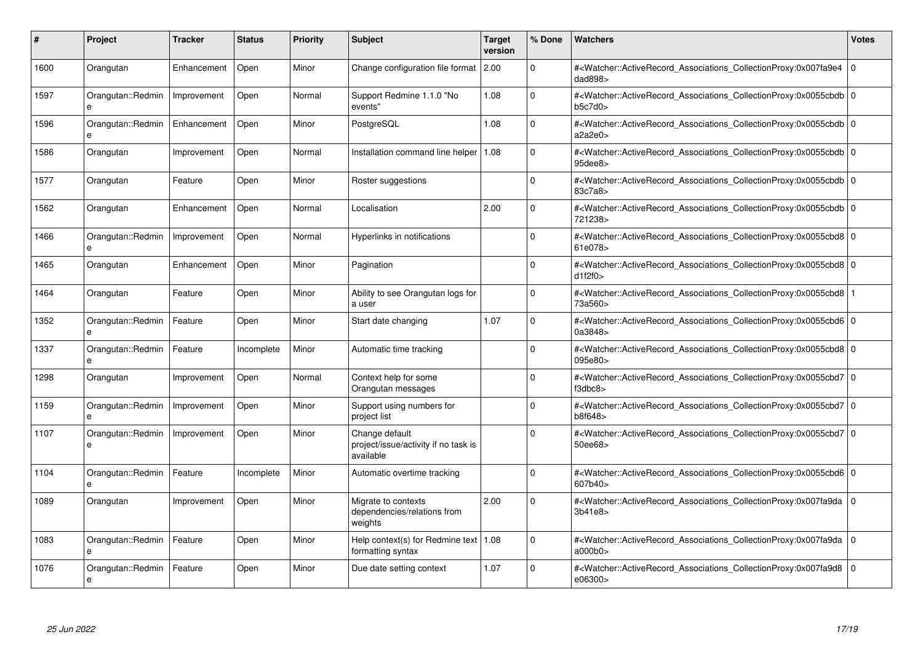| #    | Project                           | <b>Tracker</b> | <b>Status</b> | <b>Priority</b> | <b>Subject</b>                                                      | <b>Target</b><br>version | % Done      | <b>Watchers</b>                                                                                                                                          | <b>Votes</b> |
|------|-----------------------------------|----------------|---------------|-----------------|---------------------------------------------------------------------|--------------------------|-------------|----------------------------------------------------------------------------------------------------------------------------------------------------------|--------------|
| 1600 | Orangutan                         | Enhancement    | Open          | Minor           | Change configuration file format 2.00                               |                          | $\Omega$    | # <watcher::activerecord_associations_collectionproxy:0x007fa9e4 0<br=""  ="">dad898&gt;</watcher::activerecord_associations_collectionproxy:0x007fa9e4> |              |
| 1597 | Orangutan::Redmin<br>e            | Improvement    | Open          | Normal          | Support Redmine 1.1.0 "No<br>events"                                | 1.08                     | $\Omega$    | # <watcher::activerecord 0<br="" associations="" collectionproxy:0x0055cbdb=""  ="">b5c7d0&gt;</watcher::activerecord>                                   |              |
| 1596 | Orangutan::Redmin<br>e            | Enhancement    | Open          | Minor           | PostgreSQL                                                          | 1.08                     | $\mathbf 0$ | # <watcher::activerecord_associations_collectionproxy:0x0055cbdb 0<br=""  ="">a2a2e0</watcher::activerecord_associations_collectionproxy:0x0055cbdb>     |              |
| 1586 | Orangutan                         | Improvement    | Open          | Normal          | Installation command line helper   1.08                             |                          | $\Omega$    | # <watcher::activerecord_associations_collectionproxy:0x0055cbdb 0<br=""  ="">95dee8&gt;</watcher::activerecord_associations_collectionproxy:0x0055cbdb> |              |
| 1577 | Orangutan                         | Feature        | Open          | Minor           | Roster suggestions                                                  |                          | $\Omega$    | # <watcher::activerecord_associations_collectionproxy:0x0055cbdb 0<br=""  ="">83c7a8&gt;</watcher::activerecord_associations_collectionproxy:0x0055cbdb> |              |
| 1562 | Orangutan                         | Enhancement    | Open          | Normal          | Localisation                                                        | 2.00                     | $\Omega$    | # <watcher::activerecord 0<br="" associations="" collectionproxy:0x0055cbdb=""  ="">721238&gt;</watcher::activerecord>                                   |              |
| 1466 | Orangutan::Redmin<br>e            | Improvement    | Open          | Normal          | Hyperlinks in notifications                                         |                          | $\mathbf 0$ | # <watcher::activerecord_associations_collectionproxy:0x0055cbd8 0<br="">61e078&gt;</watcher::activerecord_associations_collectionproxy:0x0055cbd8>      |              |
| 1465 | Orangutan                         | Enhancement    | Open          | Minor           | Pagination                                                          |                          | $\Omega$    | # <watcher::activerecord_associations_collectionproxy:0x0055cbd8 0<br="">d1f2f0&gt;</watcher::activerecord_associations_collectionproxy:0x0055cbd8>      |              |
| 1464 | Orangutan                         | Feature        | Open          | Minor           | Ability to see Orangutan logs for<br>a user                         |                          | $\Omega$    | # <watcher::activerecord_associations_collectionproxy:0x0055cbd8 1<br=""  ="">73a560&gt;</watcher::activerecord_associations_collectionproxy:0x0055cbd8> |              |
| 1352 | Orangutan::Redmin<br>e            | Feature        | Open          | Minor           | Start date changing                                                 | 1.07                     | $\Omega$    | # <watcher::activerecord 0<br="" associations="" collectionproxy:0x0055cbd6="">0a3848&gt;</watcher::activerecord>                                        |              |
| 1337 | Orangutan::Redmin<br>e            | Feature        | Incomplete    | Minor           | Automatic time tracking                                             |                          | $\Omega$    | # <watcher::activerecord 0<br="" associations="" collectionproxy:0x0055cbd8="">095e80&gt;</watcher::activerecord>                                        |              |
| 1298 | Orangutan                         | Improvement    | Open          | Normal          | Context help for some<br>Orangutan messages                         |                          | $\Omega$    | # <watcher::activerecord_associations_collectionproxy:0x0055cbd7 0<br="">f3dbc8</watcher::activerecord_associations_collectionproxy:0x0055cbd7>          |              |
| 1159 | Orangutan::Redmin<br>$\mathbf{a}$ | Improvement    | Open          | Minor           | Support using numbers for<br>project list                           |                          | $\Omega$    | # <watcher::activerecord_associations_collectionproxy:0x0055cbd7 0<br="">b8f648&gt;</watcher::activerecord_associations_collectionproxy:0x0055cbd7>      |              |
| 1107 | Orangutan::Redmin<br>e            | Improvement    | Open          | Minor           | Change default<br>project/issue/activity if no task is<br>available |                          | $\Omega$    | # <watcher::activerecord 0<br="" associations="" collectionproxy:0x0055cbd7=""  ="">50ee68&gt;</watcher::activerecord>                                   |              |
| 1104 | Orangutan::Redmin                 | Feature        | Incomplete    | Minor           | Automatic overtime tracking                                         |                          | $\Omega$    | # <watcher::activerecord 0<br="" associations="" collectionproxy:0x0055cbd6="">607b40&gt;</watcher::activerecord>                                        |              |
| 1089 | Orangutan                         | Improvement    | Open          | Minor           | Migrate to contexts<br>dependencies/relations from<br>weights       | 2.00                     | $\Omega$    | # <watcher::activerecord_associations_collectionproxy:0x007fa9da<br>3b41e8&gt;</watcher::activerecord_associations_collectionproxy:0x007fa9da<br>        | l 0          |
| 1083 | Orangutan::Redmin<br>e            | Feature        | Open          | Minor           | Help context(s) for Redmine text   1.08<br>formatting syntax        |                          | $\Omega$    | # <watcher::activerecord 0<br="" associations="" collectionproxy:0x007fa9da=""  ="">a000b0</watcher::activerecord>                                       |              |
| 1076 | Orangutan::Redmin<br>e            | Feature        | Open          | Minor           | Due date setting context                                            | 1.07                     | $\Omega$    | # <watcher::activerecord 0<br="" associations="" collectionproxy:0x007fa9d8=""  ="">e06300&gt;</watcher::activerecord>                                   |              |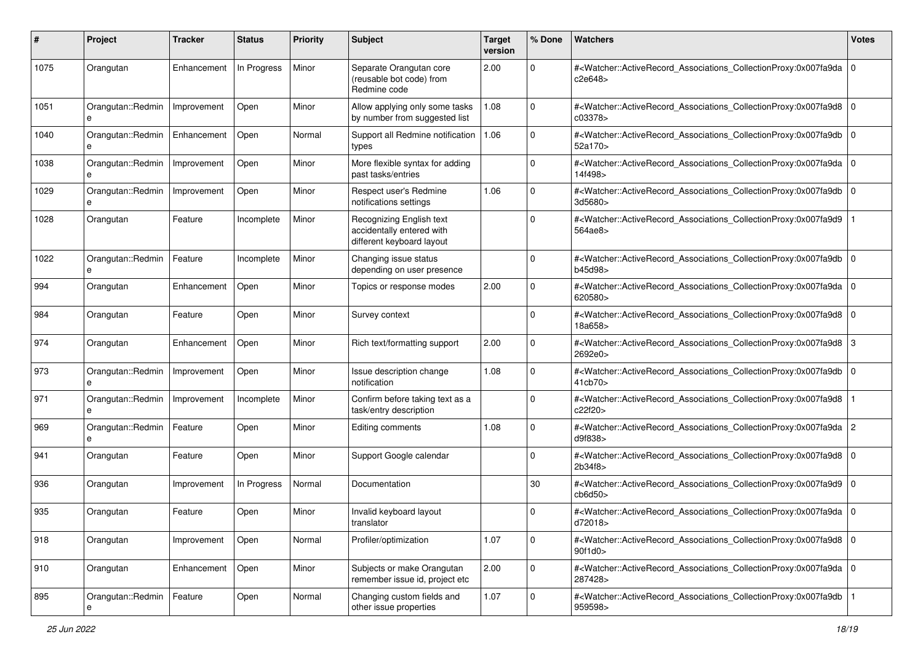| #    | Project                | <b>Tracker</b> | <b>Status</b> | <b>Priority</b> | <b>Subject</b>                                                                     | <b>Target</b><br>version | % Done       | Watchers                                                                                                                                                            | <b>Votes</b> |
|------|------------------------|----------------|---------------|-----------------|------------------------------------------------------------------------------------|--------------------------|--------------|---------------------------------------------------------------------------------------------------------------------------------------------------------------------|--------------|
| 1075 | Orangutan              | Enhancement    | In Progress   | Minor           | Separate Orangutan core<br>(reusable bot code) from<br>Redmine code                | 2.00                     | 0            | # <watcher::activerecord_associations_collectionproxy:0x007fa9da 0<br="">c2e648&gt;</watcher::activerecord_associations_collectionproxy:0x007fa9da>                 |              |
| 1051 | Orangutan::Redmin<br>e | Improvement    | Open          | Minor           | Allow applying only some tasks<br>by number from suggested list                    | 1.08                     | 0            | # <watcher::activerecord_associations_collectionproxy:0x007fa9d8 0<br=""  ="">c03378&gt;</watcher::activerecord_associations_collectionproxy:0x007fa9d8>            |              |
| 1040 | Orangutan::Redmin<br>e | Enhancement    | Open          | Normal          | Support all Redmine notification<br>types                                          | 1.06                     | $\Omega$     | # <watcher::activerecord_associations_collectionproxy:0x007fa9db 0<br=""  ="">52a170&gt;</watcher::activerecord_associations_collectionproxy:0x007fa9db>            |              |
| 1038 | Orangutan::Redmin<br>e | Improvement    | Open          | Minor           | More flexible syntax for adding<br>past tasks/entries                              |                          | $\Omega$     | # <watcher::activerecord_associations_collectionproxy:0x007fa9da 0<br="">14f498&gt;</watcher::activerecord_associations_collectionproxy:0x007fa9da>                 |              |
| 1029 | Orangutan::Redmin<br>e | Improvement    | Open          | Minor           | Respect user's Redmine<br>notifications settings                                   | 1.06                     | 0            | # <watcher::activerecord_associations_collectionproxy:0x007fa9db 0<br=""  ="">3d5680&gt;</watcher::activerecord_associations_collectionproxy:0x007fa9db>            |              |
| 1028 | Orangutan              | Feature        | Incomplete    | Minor           | Recognizing English text<br>accidentally entered with<br>different keyboard layout |                          | $\Omega$     | # <watcher::activerecord_associations_collectionproxy:0x007fa9d9<br>564ae8&gt;</watcher::activerecord_associations_collectionproxy:0x007fa9d9<br>                   |              |
| 1022 | Orangutan::Redmin<br>e | Feature        | Incomplete    | Minor           | Changing issue status<br>depending on user presence                                |                          | $\Omega$     | # <watcher::activerecord_associations_collectionproxy:0x007fa9db 0<br=""  ="">b45d98&gt;</watcher::activerecord_associations_collectionproxy:0x007fa9db>            |              |
| 994  | Orangutan              | Enhancement    | Open          | Minor           | Topics or response modes                                                           | 2.00                     | 0            | # <watcher::activerecord_associations_collectionproxy:0x007fa9da 0<br=""  ="">620580&gt;</watcher::activerecord_associations_collectionproxy:0x007fa9da>            |              |
| 984  | Orangutan              | Feature        | Open          | Minor           | Survey context                                                                     |                          | $\Omega$     | # <watcher::activerecord_associations_collectionproxy:0x007fa9d8 0<br="">18a658&gt;</watcher::activerecord_associations_collectionproxy:0x007fa9d8>                 |              |
| 974  | Orangutan              | Enhancement    | Open          | Minor           | Rich text/formatting support                                                       | 2.00                     | 0            | # <watcher::activerecord_associations_collectionproxy:0x007fa9d8 3<br="">2692e0&gt;</watcher::activerecord_associations_collectionproxy:0x007fa9d8>                 |              |
| 973  | Orangutan::Redmin<br>e | Improvement    | Open          | Minor           | Issue description change<br>notification                                           | 1.08                     | $\Omega$     | # <watcher::activerecord_associations_collectionproxy:0x007fa9db 0<br=""  ="">41cb70&gt;</watcher::activerecord_associations_collectionproxy:0x007fa9db>            |              |
| 971  | Orangutan::Redmin<br>e | Improvement    | Incomplete    | Minor           | Confirm before taking text as a<br>task/entry description                          |                          | $\Omega$     | # <watcher::activerecord_associations_collectionproxy:0x007fa9d8<br>c22f20&gt;</watcher::activerecord_associations_collectionproxy:0x007fa9d8<br>                   |              |
| 969  | Orangutan::Redmin<br>e | Feature        | Open          | Minor           | Editing comments                                                                   | 1.08                     | 0            | # <watcher::activerecord_associations_collectionproxy:0x007fa9da 2<br="">d9f838&gt;</watcher::activerecord_associations_collectionproxy:0x007fa9da>                 |              |
| 941  | Orangutan              | Feature        | Open          | Minor           | Support Google calendar                                                            |                          | 0            | # <watcher::activerecord_associations_collectionproxy:0x007fa9d8 0<br="">2b34f8&gt;</watcher::activerecord_associations_collectionproxy:0x007fa9d8>                 |              |
| 936  | Orangutan              | Improvement    | In Progress   | Normal          | Documentation                                                                      |                          | 30           | # <watcher::activerecord_associations_collectionproxy:0x007fa9d9 0<br=""  ="">cb6d50<sub>&gt;</sub></watcher::activerecord_associations_collectionproxy:0x007fa9d9> |              |
| 935  | Orangutan              | Feature        | Open          | Minor           | Invalid keyboard layout<br>translator                                              |                          | 0            | # <watcher::activerecord_associations_collectionproxy:0x007fa9da 0<br="">d72018&gt;</watcher::activerecord_associations_collectionproxy:0x007fa9da>                 |              |
| 918  | Orangutan              | Improvement    | Open          | Normal          | Profiler/optimization                                                              | 1.07                     | $\mathbf 0$  | # <watcher::activerecord 0<br="" associations="" collectionproxy:0x007fa9d8="">90f1d0&gt;</watcher::activerecord>                                                   |              |
| 910  | Orangutan              | Enhancement    | Open          | Minor           | Subjects or make Orangutan<br>remember issue id, project etc                       | 2.00                     | $\mathbf{0}$ | # <watcher::activerecord_associations_collectionproxy:0x007fa9da 0<br="">287428&gt;</watcher::activerecord_associations_collectionproxy:0x007fa9da>                 |              |
| 895  | Orangutan::Redmin      | Feature        | Open          | Normal          | Changing custom fields and<br>other issue properties                               | 1.07                     | $\mathbf 0$  | # <watcher::activerecord_associations_collectionproxy:0x007fa9db<br>959598&gt;</watcher::activerecord_associations_collectionproxy:0x007fa9db<br>                   |              |